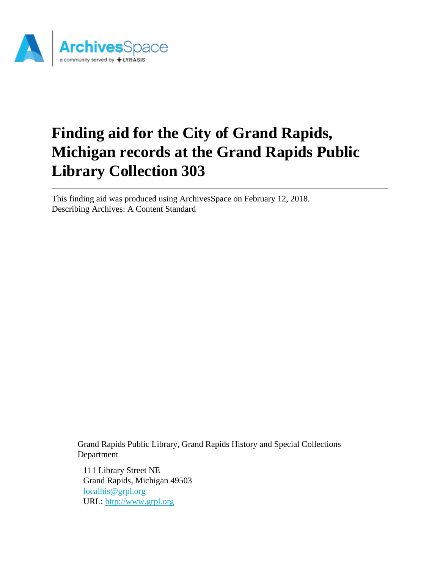

# **Finding aid for the City of Grand Rapids, Michigan records at the Grand Rapids Public Library Collection 303**

This finding aid was produced using ArchivesSpace on February 12, 2018. Describing Archives: A Content Standard

Grand Rapids Public Library, Grand Rapids History and Special Collections Department

111 Library Street NE Grand Rapids, Michigan 49503 [localhis@grpl.org](mailto:localhis@grpl.org) URL:<http://www.grpl.org>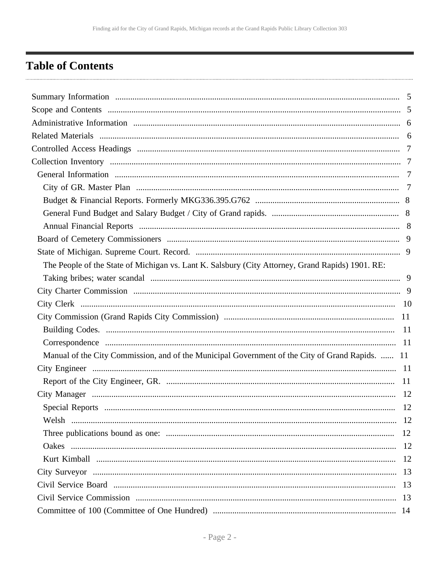## <span id="page-1-0"></span>**Table of Contents**

| The People of the State of Michigan vs. Lant K. Salsbury (City Attorney, Grand Rapids) 1901. RE: |  |
|--------------------------------------------------------------------------------------------------|--|
|                                                                                                  |  |
|                                                                                                  |  |
|                                                                                                  |  |
|                                                                                                  |  |
|                                                                                                  |  |
|                                                                                                  |  |
| Manual of the City Commission, and of the Municipal Government of the City of Grand Rapids.  11  |  |
|                                                                                                  |  |
|                                                                                                  |  |
|                                                                                                  |  |
| 12                                                                                               |  |
|                                                                                                  |  |
|                                                                                                  |  |
|                                                                                                  |  |
|                                                                                                  |  |
|                                                                                                  |  |
|                                                                                                  |  |
|                                                                                                  |  |
|                                                                                                  |  |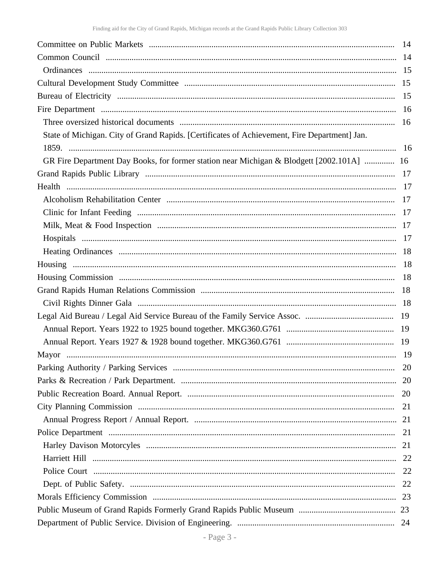| State of Michigan. City of Grand Rapids. [Certificates of Achievement, Fire Department] Jan.<br>GR Fire Department Day Books, for former station near Michigan & Blodgett [2002.101A]  16<br>20<br>20<br>21 |    |
|-------------------------------------------------------------------------------------------------------------------------------------------------------------------------------------------------------------|----|
|                                                                                                                                                                                                             |    |
|                                                                                                                                                                                                             |    |
|                                                                                                                                                                                                             |    |
|                                                                                                                                                                                                             |    |
|                                                                                                                                                                                                             |    |
|                                                                                                                                                                                                             |    |
|                                                                                                                                                                                                             |    |
|                                                                                                                                                                                                             |    |
|                                                                                                                                                                                                             |    |
|                                                                                                                                                                                                             |    |
|                                                                                                                                                                                                             |    |
|                                                                                                                                                                                                             |    |
|                                                                                                                                                                                                             |    |
|                                                                                                                                                                                                             |    |
|                                                                                                                                                                                                             |    |
|                                                                                                                                                                                                             |    |
|                                                                                                                                                                                                             |    |
|                                                                                                                                                                                                             |    |
|                                                                                                                                                                                                             |    |
|                                                                                                                                                                                                             |    |
|                                                                                                                                                                                                             |    |
|                                                                                                                                                                                                             |    |
|                                                                                                                                                                                                             |    |
|                                                                                                                                                                                                             |    |
|                                                                                                                                                                                                             |    |
|                                                                                                                                                                                                             |    |
|                                                                                                                                                                                                             |    |
|                                                                                                                                                                                                             |    |
|                                                                                                                                                                                                             |    |
|                                                                                                                                                                                                             |    |
|                                                                                                                                                                                                             |    |
|                                                                                                                                                                                                             |    |
|                                                                                                                                                                                                             | 22 |
|                                                                                                                                                                                                             |    |
|                                                                                                                                                                                                             |    |
|                                                                                                                                                                                                             |    |
|                                                                                                                                                                                                             |    |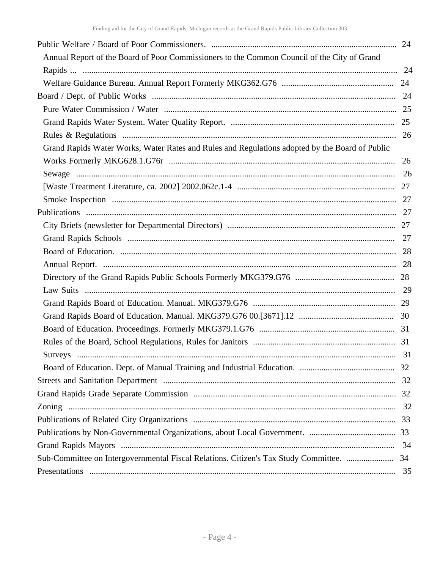| Annual Report of the Board of Poor Commissioners to the Common Council of the City of Grand    |    |
|------------------------------------------------------------------------------------------------|----|
|                                                                                                |    |
|                                                                                                |    |
|                                                                                                |    |
|                                                                                                |    |
|                                                                                                |    |
|                                                                                                |    |
| Grand Rapids Water Works, Water Rates and Rules and Regulations adopted by the Board of Public |    |
|                                                                                                |    |
|                                                                                                |    |
|                                                                                                |    |
|                                                                                                |    |
|                                                                                                |    |
|                                                                                                |    |
|                                                                                                |    |
|                                                                                                |    |
|                                                                                                |    |
|                                                                                                |    |
|                                                                                                |    |
|                                                                                                |    |
|                                                                                                |    |
|                                                                                                |    |
|                                                                                                |    |
|                                                                                                |    |
|                                                                                                |    |
|                                                                                                |    |
|                                                                                                |    |
|                                                                                                |    |
|                                                                                                |    |
|                                                                                                |    |
|                                                                                                | 34 |
| Sub-Committee on Intergovernmental Fiscal Relations. Citizen's Tax Study Committee.  34        |    |
|                                                                                                |    |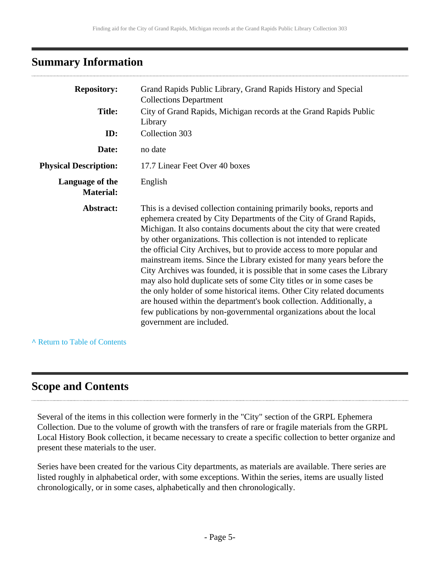## <span id="page-4-0"></span>**Summary Information**

| <b>Repository:</b>                  | Grand Rapids Public Library, Grand Rapids History and Special<br><b>Collections Department</b>                                                                                                                                                                                                                                                                                                                                                                                                                                                                                                                                                                                                                                                                                                                                                      |
|-------------------------------------|-----------------------------------------------------------------------------------------------------------------------------------------------------------------------------------------------------------------------------------------------------------------------------------------------------------------------------------------------------------------------------------------------------------------------------------------------------------------------------------------------------------------------------------------------------------------------------------------------------------------------------------------------------------------------------------------------------------------------------------------------------------------------------------------------------------------------------------------------------|
| <b>Title:</b>                       | City of Grand Rapids, Michigan records at the Grand Rapids Public<br>Library                                                                                                                                                                                                                                                                                                                                                                                                                                                                                                                                                                                                                                                                                                                                                                        |
| ID:                                 | Collection 303                                                                                                                                                                                                                                                                                                                                                                                                                                                                                                                                                                                                                                                                                                                                                                                                                                      |
| Date:                               | no date                                                                                                                                                                                                                                                                                                                                                                                                                                                                                                                                                                                                                                                                                                                                                                                                                                             |
| <b>Physical Description:</b>        | 17.7 Linear Feet Over 40 boxes                                                                                                                                                                                                                                                                                                                                                                                                                                                                                                                                                                                                                                                                                                                                                                                                                      |
| Language of the<br><b>Material:</b> | English                                                                                                                                                                                                                                                                                                                                                                                                                                                                                                                                                                                                                                                                                                                                                                                                                                             |
| Abstract:                           | This is a devised collection containing primarily books, reports and<br>ephemera created by City Departments of the City of Grand Rapids,<br>Michigan. It also contains documents about the city that were created<br>by other organizations. This collection is not intended to replicate<br>the official City Archives, but to provide access to more popular and<br>mainstream items. Since the Library existed for many years before the<br>City Archives was founded, it is possible that in some cases the Library<br>may also hold duplicate sets of some City titles or in some cases be<br>the only holder of some historical items. Other City related documents<br>are housed within the department's book collection. Additionally, a<br>few publications by non-governmental organizations about the local<br>government are included. |

**^** [Return to Table of Contents](#page-1-0)

## <span id="page-4-1"></span>**Scope and Contents**

Several of the items in this collection were formerly in the "City" section of the GRPL Ephemera Collection. Due to the volume of growth with the transfers of rare or fragile materials from the GRPL Local History Book collection, it became necessary to create a specific collection to better organize and present these materials to the user.

Series have been created for the various City departments, as materials are available. There series are listed roughly in alphabetical order, with some exceptions. Within the series, items are usually listed chronologically, or in some cases, alphabetically and then chronologically.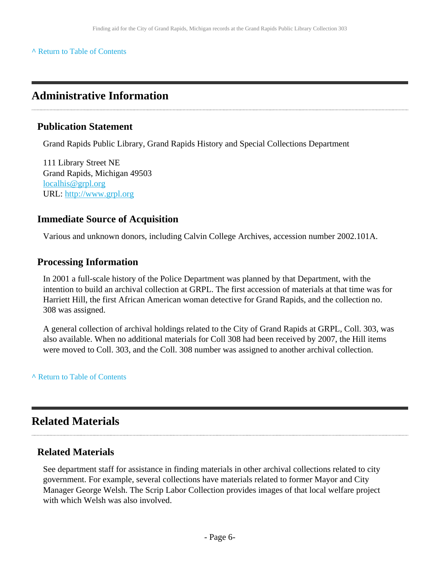## <span id="page-5-0"></span>**Administrative Information**

### **Publication Statement**

Grand Rapids Public Library, Grand Rapids History and Special Collections Department

111 Library Street NE Grand Rapids, Michigan 49503 [localhis@grpl.org](mailto:localhis@grpl.org) URL:<http://www.grpl.org>

### **Immediate Source of Acquisition**

Various and unknown donors, including Calvin College Archives, accession number 2002.101A.

### **Processing Information**

In 2001 a full-scale history of the Police Department was planned by that Department, with the intention to build an archival collection at GRPL. The first accession of materials at that time was for Harriett Hill, the first African American woman detective for Grand Rapids, and the collection no. 308 was assigned.

A general collection of archival holdings related to the City of Grand Rapids at GRPL, Coll. 303, was also available. When no additional materials for Coll 308 had been received by 2007, the Hill items were moved to Coll. 303, and the Coll. 308 number was assigned to another archival collection.

**^** [Return to Table of Contents](#page-1-0)

## <span id="page-5-1"></span>**Related Materials**

### **Related Materials**

See department staff for assistance in finding materials in other archival collections related to city government. For example, several collections have materials related to former Mayor and City Manager George Welsh. The Scrip Labor Collection provides images of that local welfare project with which Welsh was also involved.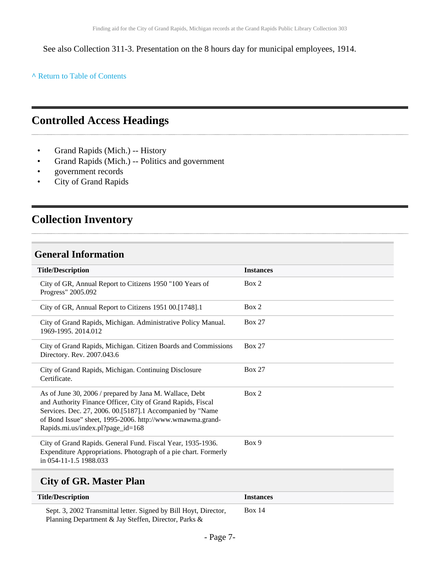See also Collection 311-3. Presentation on the 8 hours day for municipal employees, 1914.

**^** [Return to Table of Contents](#page-1-0)

## <span id="page-6-0"></span>**Controlled Access Headings**

- Grand Rapids (Mich.) -- History
- Grand Rapids (Mich.) -- Politics and government
- government records
- City of Grand Rapids

## <span id="page-6-1"></span>**Collection Inventory**

## <span id="page-6-2"></span>**General Information**

| <b>Title/Description</b>                                                                                                                                                                                                                                                                | <b>Instances</b> |
|-----------------------------------------------------------------------------------------------------------------------------------------------------------------------------------------------------------------------------------------------------------------------------------------|------------------|
| City of GR, Annual Report to Citizens 1950 "100 Years of<br>Progress" 2005.092                                                                                                                                                                                                          | Box 2            |
| City of GR, Annual Report to Citizens 1951 00.[1748].1                                                                                                                                                                                                                                  | Box 2            |
| City of Grand Rapids, Michigan. Administrative Policy Manual.<br>1969-1995. 2014.012                                                                                                                                                                                                    | <b>Box 27</b>    |
| City of Grand Rapids, Michigan. Citizen Boards and Commissions<br>Directory. Rev. 2007.043.6                                                                                                                                                                                            | <b>Box 27</b>    |
| City of Grand Rapids, Michigan. Continuing Disclosure<br>Certificate.                                                                                                                                                                                                                   | <b>Box 27</b>    |
| As of June 30, 2006 / prepared by Jana M. Wallace, Debt<br>and Authority Finance Officer, City of Grand Rapids, Fiscal<br>Services. Dec. 27, 2006. 00. [5187]. 1 Accompanied by "Name<br>of Bond Issue" sheet, 1995-2006. http://www.wmawma.grand-<br>Rapids.mi.us/index.pl?page_id=168 | Box 2            |
| City of Grand Rapids. General Fund. Fiscal Year, 1935-1936.<br>Expenditure Appropriations. Photograph of a pie chart. Formerly<br>in 054-11-1.5 1988.033                                                                                                                                | Box 9            |
|                                                                                                                                                                                                                                                                                         |                  |

## <span id="page-6-3"></span>**City of GR. Master Plan**

| <b>Title/Description</b>                                         | <i>Instances</i> |
|------------------------------------------------------------------|------------------|
| Sept. 3, 2002 Transmittal letter. Signed by Bill Hoyt, Director, | <b>Box 14</b>    |
| Planning Department & Jay Steffen, Director, Parks &             |                  |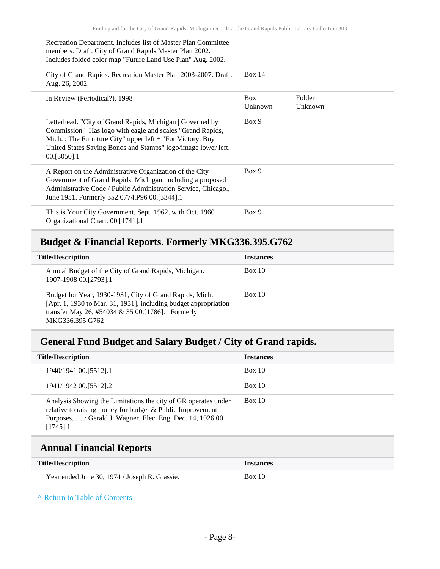#### Recreation Department. Includes list of Master Plan Committee members. Draft. City of Grand Rapids Master Plan 2002. Includes folded color map "Future Land Use Plan" Aug. 2002.

City of Grand Rapids. Recreation Master Plan 2003-2007. Draft. Aug. 26, 2002. Box 14 In Review (Periodical?), 1998 Box Unknown Folder Unknown Letterhead. "City of Grand Rapids, Michigan | Governed by Commission." Has logo with eagle and scales "Grand Rapids, Mich. : The Furniture City" upper left + "For Victory, Buy United States Saving Bonds and Stamps" logo/image lower left. 00.[3050].1 Box 9 A Report on the Administrative Organization of the City Government of Grand Rapids, Michigan, including a proposed Administrative Code / Public Administration Service, Chicago., June 1951. Formerly 352.0774.P96 00.[3344].1 Box 9 This is Your City Government, Sept. 1962, with Oct. 1960 Organizational Chart. 00.[1741].1 Box 9

### <span id="page-7-0"></span>**Budget & Financial Reports. Formerly MKG336.395.G762**

| <b>Title/Description</b>                                                                                                                                                                             | <b>Instances</b> |
|------------------------------------------------------------------------------------------------------------------------------------------------------------------------------------------------------|------------------|
| Annual Budget of the City of Grand Rapids, Michigan.<br>1907-1908 00.[2793].1                                                                                                                        | Box 10           |
| Budget for Year, 1930-1931, City of Grand Rapids, Mich.<br>[Apr. 1, 1930 to Mar. 31, 1931], including budget appropriation<br>transfer May 26, #54034 & 35 00. [1786]. 1 Formerly<br>MKG336.395 G762 | Box 10           |

### <span id="page-7-1"></span>**General Fund Budget and Salary Budget / City of Grand rapids.**

| <b>Title/Description</b>                                                                                                                                                                               | <b>Instances</b> |
|--------------------------------------------------------------------------------------------------------------------------------------------------------------------------------------------------------|------------------|
| 1940/1941 00. [5512]. 1                                                                                                                                                                                | Box 10           |
| 1941/1942 00. [5512]. 2                                                                                                                                                                                | Box 10           |
| Analysis Showing the Limitations the city of GR operates under<br>relative to raising money for budget & Public Improvement<br>Purposes,  / Gerald J. Wagner, Elec. Eng. Dec. 14, 1926 00.<br>[1745].1 | Box 10           |

### <span id="page-7-2"></span>**Annual Financial Reports**

| <b>Title/Description</b>                      | <b>Instances</b> |
|-----------------------------------------------|------------------|
| Year ended June 30, 1974 / Joseph R. Grassie. | Box 10           |

#### **^** [Return to Table of Contents](#page-1-0)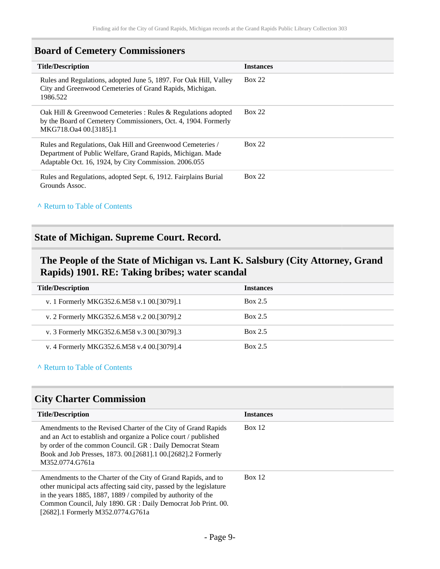## <span id="page-8-0"></span>**Board of Cemetery Commissioners**

| <b>Title/Description</b>                                                                                                                                                          | <b>Instances</b> |
|-----------------------------------------------------------------------------------------------------------------------------------------------------------------------------------|------------------|
| Rules and Regulations, adopted June 5, 1897. For Oak Hill, Valley<br>City and Greenwood Cemeteries of Grand Rapids, Michigan.<br>1986.522                                         | <b>Box 22</b>    |
| Oak Hill & Greenwood Cemeteries : Rules & Regulations adopted<br>by the Board of Cemetery Commissioners, Oct. 4, 1904. Formerly<br>MKG718.Oa4 00.[3185].1                         | <b>Box 22</b>    |
| Rules and Regulations, Oak Hill and Greenwood Cemeteries /<br>Department of Public Welfare, Grand Rapids, Michigan. Made<br>Adaptable Oct. 16, 1924, by City Commission. 2006.055 | Box 22           |
| Rules and Regulations, adopted Sept. 6, 1912. Fairplains Burial<br>Grounds Assoc.                                                                                                 | <b>Box 22</b>    |

## **^** [Return to Table of Contents](#page-1-0)

### <span id="page-8-1"></span>**State of Michigan. Supreme Court. Record.**

## <span id="page-8-2"></span>**The People of the State of Michigan vs. Lant K. Salsbury (City Attorney, Grand Rapids) 1901. RE: Taking bribes; water scandal**

| <b>Title/Description</b>                   | <b>Instances</b> |
|--------------------------------------------|------------------|
| v. 1 Formerly MKG352.6.M58 v.1 00.[3079].1 | Box 2.5          |
| v. 2 Formerly MKG352.6.M58 v.2 00.[3079].2 | Box 2.5          |
| v. 3 Formerly MKG352.6.M58 v.3 00.[3079].3 | Box 2.5          |
| v. 4 Formerly MKG352.6.M58 v.4 00.[3079].4 | Box 2.5          |

#### **^** [Return to Table of Contents](#page-1-0)

### <span id="page-8-3"></span>**City Charter Commission**

| <b>Title/Description</b>                                                                                                                                                                                                                                                                                   | <b>Instances</b> |
|------------------------------------------------------------------------------------------------------------------------------------------------------------------------------------------------------------------------------------------------------------------------------------------------------------|------------------|
| Amendments to the Revised Charter of the City of Grand Rapids<br>and an Act to establish and organize a Police court / published<br>by order of the common Council. GR : Daily Democrat Steam<br>Book and Job Presses, 1873. 00. [2681]. 1 00. [2682]. 2 Formerly<br>M352.0774.G761a                       | Box 12           |
| Amendments to the Charter of the City of Grand Rapids, and to<br>other municipal acts affecting said city, passed by the legislature<br>in the years 1885, 1887, 1889 / compiled by authority of the<br>Common Council, July 1890. GR : Daily Democrat Job Print. 00.<br>[2682].1 Formerly M352.0774.G761a | Box 12           |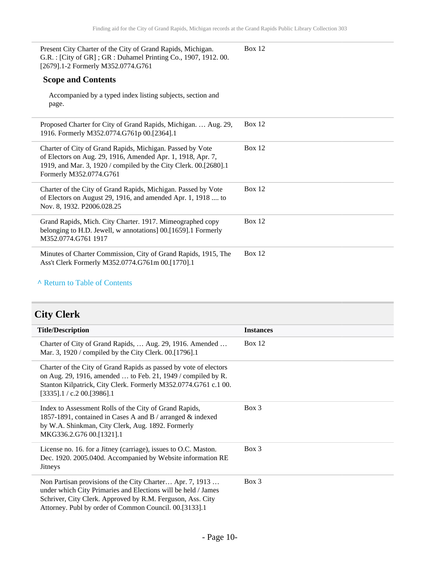| Present City Charter of the City of Grand Rapids, Michigan.<br>G.R.: [City of GR]; GR: Duhamel Printing Co., 1907, 1912.00.<br>[2679].1-2 Formerly M352.0774.G761                                                       | Box $12$ |
|-------------------------------------------------------------------------------------------------------------------------------------------------------------------------------------------------------------------------|----------|
| <b>Scope and Contents</b>                                                                                                                                                                                               |          |
| Accompanied by a typed index listing subjects, section and<br>page.                                                                                                                                                     |          |
| Proposed Charter for City of Grand Rapids, Michigan.  Aug. 29,<br>1916. Formerly M352.0774.G761p 00.[2364].1                                                                                                            | Box $12$ |
| Charter of City of Grand Rapids, Michigan. Passed by Vote<br>of Electors on Aug. 29, 1916, Amended Apr. 1, 1918, Apr. 7,<br>1919, and Mar. 3, 1920 / compiled by the City Clerk. 00.[2680].1<br>Formerly M352.0774.G761 | Box $12$ |
| Charter of the City of Grand Rapids, Michigan. Passed by Vote<br>of Electors on August 29, 1916, and amended Apr. 1, 1918  to<br>Nov. 8, 1932. P2006.028.25                                                             | Box 12   |
| Grand Rapids, Mich. City Charter. 1917. Mimeographed copy<br>belonging to H.D. Jewell, w annotations] 00.[1659].1 Formerly<br>M352.0774.G761 1917                                                                       | Box $12$ |
| Minutes of Charter Commission, City of Grand Rapids, 1915, The<br>Ass't Clerk Formerly M352.0774.G761m 00.[1770].1                                                                                                      | Box $12$ |

## <span id="page-9-0"></span>**City Clerk**

| <b>Title/Description</b>                                                                                                                                                                                                                          | <b>Instances</b> |
|---------------------------------------------------------------------------------------------------------------------------------------------------------------------------------------------------------------------------------------------------|------------------|
| Charter of City of Grand Rapids,  Aug. 29, 1916. Amended<br>Mar. 3, 1920 / compiled by the City Clerk. 00.[1796].1                                                                                                                                | Box $12$         |
| Charter of the City of Grand Rapids as passed by vote of electors<br>on Aug. 29, 1916, amended  to Feb. 21, 1949 / compiled by R.<br>Stanton Kilpatrick, City Clerk. Formerly M352.0774.G761 c.1 00.<br>$[3335]$ .1 / c.2 00.[3986].1             |                  |
| Index to Assessment Rolls of the City of Grand Rapids,<br>1857-1891, contained in Cases A and B / arranged & indexed<br>by W.A. Shinkman, City Clerk, Aug. 1892. Formerly<br>MKG336.2.G76 00.[1321].1                                             | $Box\ 3$         |
| License no. 16. for a Jitney (carriage), issues to O.C. Maston.<br>Dec. 1920. 2005.040d. Accompanied by Website information RE<br>Jitneys                                                                                                         | $Box\ 3$         |
| Non Partisan provisions of the City Charter Apr. 7, 1913<br>under which City Primaries and Elections will be held / James<br>Schriver, City Clerk. Approved by R.M. Ferguson, Ass. City<br>Attorney. Publ by order of Common Council. 00.[3133].1 | $Box$ 3          |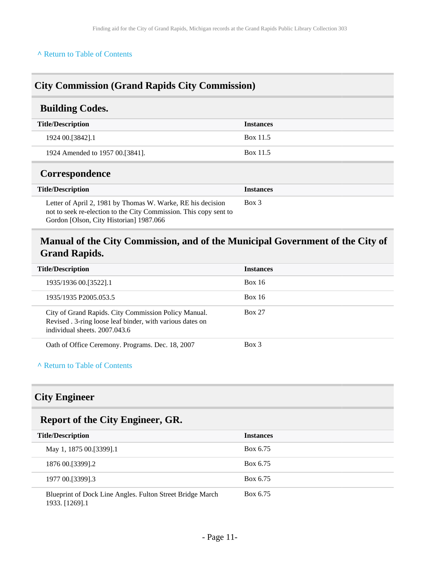## <span id="page-10-0"></span>**City Commission (Grand Rapids City Commission)**

### <span id="page-10-1"></span>**Building Codes.**

| <b>Title/Description</b>        | <b>Instances</b> |
|---------------------------------|------------------|
| 1924 00. [3842] . 1             | Box 11.5         |
| 1924 Amended to 1957 00.[3841]. | Box 11.5         |

### <span id="page-10-2"></span>**Correspondence**

| <b>Title/Description</b>                                                                                                                                                    | <b>Instances</b> |
|-----------------------------------------------------------------------------------------------------------------------------------------------------------------------------|------------------|
| Letter of April 2, 1981 by Thomas W. Warke, RE his decision<br>not to seek re-election to the City Commission. This copy sent to<br>Gordon [Olson, City Historian] 1987.066 | Box 3            |

## <span id="page-10-3"></span>**Manual of the City Commission, and of the Municipal Government of the City of Grand Rapids.**

| <b>Title/Description</b>                                                                                                                           | <b>Instances</b> |
|----------------------------------------------------------------------------------------------------------------------------------------------------|------------------|
| 1935/1936 00. [3522]. 1                                                                                                                            | <b>Box 16</b>    |
| 1935/1935 P2005.053.5                                                                                                                              | <b>Box 16</b>    |
| City of Grand Rapids. City Commission Policy Manual.<br>Revised . 3-ring loose leaf binder, with various dates on<br>individual sheets, 2007.043.6 | <b>Box 27</b>    |
| Oath of Office Ceremony. Programs. Dec. 18, 2007                                                                                                   | $Box\ 3$         |

### **^** [Return to Table of Contents](#page-1-0)

### <span id="page-10-4"></span>**City Engineer**

### <span id="page-10-5"></span>**Report of the City Engineer, GR.**

| <b>Title/Description</b>                                                    | <b>Instances</b> |
|-----------------------------------------------------------------------------|------------------|
| May 1, 1875 00. [3399]. 1                                                   | Box 6.75         |
| 1876 00. [3399]. 2                                                          | Box 6.75         |
| 1977 00. [3399] . 3                                                         | Box 6.75         |
| Blueprint of Dock Line Angles. Fulton Street Bridge March<br>1933. [1269].1 | Box 6.75         |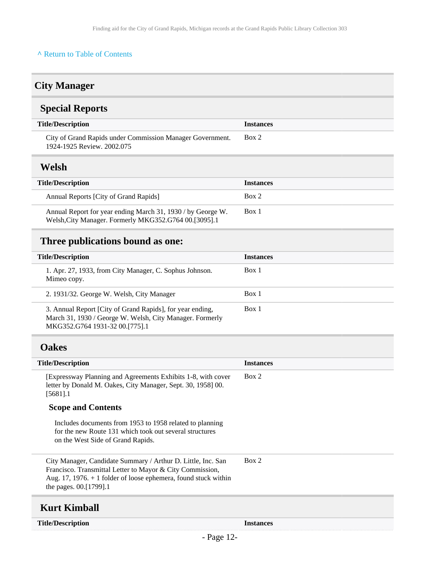## <span id="page-11-0"></span>**City Manager**

## <span id="page-11-1"></span>**Special Reports**

| <b>Title/Description</b>                                                                | <i><u><b>Instances</b></u></i> |
|-----------------------------------------------------------------------------------------|--------------------------------|
| City of Grand Rapids under Commission Manager Government.<br>1924-1925 Review, 2002.075 | Box 2                          |
|                                                                                         |                                |

## <span id="page-11-2"></span>**Welsh**

| <b>Title/Description</b>                                                                                             | <b>Instances</b> |
|----------------------------------------------------------------------------------------------------------------------|------------------|
| Annual Reports [City of Grand Rapids]                                                                                | Box 2            |
| Annual Report for year ending March 31, 1930 / by George W.<br>Welsh, City Manager. Formerly MKG352.G764 00.[3095].1 | Box 1            |

## <span id="page-11-3"></span>**Three publications bound as one:**

| <b>Title/Description</b>                                                                                                                                | <b>Instances</b> |
|---------------------------------------------------------------------------------------------------------------------------------------------------------|------------------|
| 1. Apr. 27, 1933, from City Manager, C. Sophus Johnson.<br>Mimeo copy.                                                                                  | Box 1            |
| 2. 1931/32. George W. Welsh, City Manager                                                                                                               | Box 1            |
| 3. Annual Report [City of Grand Rapids], for year ending,<br>March 31, 1930 / George W. Welsh, City Manager. Formerly<br>MKG352.G764 1931-32 00.[775].1 | Box 1            |

## <span id="page-11-4"></span>**Oakes**

<span id="page-11-5"></span>

| <b>Title/Description</b>                                                                                                                                                                                                 | <b>Instances</b> |
|--------------------------------------------------------------------------------------------------------------------------------------------------------------------------------------------------------------------------|------------------|
| [Expressway Planning and Agreements Exhibits 1-8, with cover<br>letter by Donald M. Oakes, City Manager, Sept. 30, 1958] 00.<br>[5681].1                                                                                 | Box 2            |
| <b>Scope and Contents</b>                                                                                                                                                                                                |                  |
| Includes documents from 1953 to 1958 related to planning<br>for the new Route 131 which took out several structures<br>on the West Side of Grand Rapids.                                                                 |                  |
| City Manager, Candidate Summary / Arthur D. Little, Inc. San<br>Francisco. Transmittal Letter to Mayor & City Commission,<br>Aug. 17, 1976. $+$ 1 folder of loose ephemera, found stuck within<br>the pages. 00.[1799].1 | Box 2            |
| Kurt Kimball                                                                                                                                                                                                             |                  |
| <b>Title/Description</b>                                                                                                                                                                                                 | <b>Instances</b> |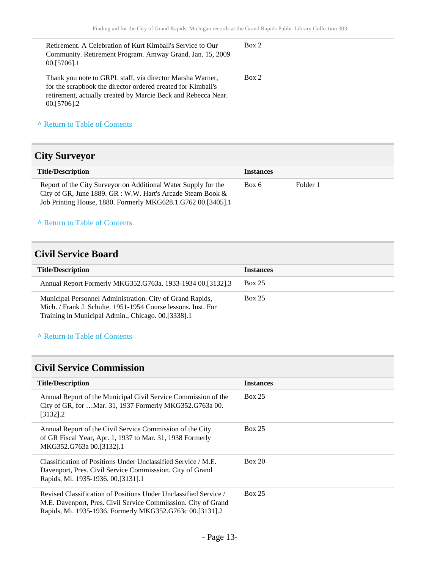| Retirement. A Celebration of Kurt Kimball's Service to Our<br>Community. Retirement Program. Amway Grand. Jan. 15, 2009<br>00.[5706].1                                                                    | Box 2 |
|-----------------------------------------------------------------------------------------------------------------------------------------------------------------------------------------------------------|-------|
| Thank you note to GRPL staff, via director Marsha Warner,<br>for the scrapbook the director ordered created for Kimball's<br>retirement, actually created by Marcie Beck and Rebecca Near.<br>00.[5706].2 | Box 2 |
| A Return to Table of Contents                                                                                                                                                                             |       |

## <span id="page-12-0"></span>**City Surveyor**

| <b>Title/Description</b>                                                                                                                                                                         | <b>Instances</b> |          |
|--------------------------------------------------------------------------------------------------------------------------------------------------------------------------------------------------|------------------|----------|
| Report of the City Surveyor on Additional Water Supply for the<br>City of GR, June 1889. GR : W.W. Hart's Arcade Steam Book $\&$<br>Job Printing House, 1880. Formerly MKG628.1.G762 00.[3405].1 | Box 6            | Folder 1 |

#### **^** [Return to Table of Contents](#page-1-0)

## <span id="page-12-1"></span>**Civil Service Board**

| <b>Title/Description</b>                                                                                                                                                         | <b>Instances</b> |
|----------------------------------------------------------------------------------------------------------------------------------------------------------------------------------|------------------|
| Annual Report Formerly MKG352.G763a. 1933-1934 00.[3132].3                                                                                                                       | <b>Box 25</b>    |
| Municipal Personnel Administration. City of Grand Rapids,<br>Mich. / Frank J. Schulte. 1951-1954 Course lessons. Inst. For<br>Training in Municipal Admin., Chicago. 00.[3338].1 | <b>Box 25</b>    |

### **^** [Return to Table of Contents](#page-1-0)

## <span id="page-12-2"></span>**Civil Service Commission**

| <b>Title/Description</b>                                                                                                                                                                       | <b>Instances</b> |
|------------------------------------------------------------------------------------------------------------------------------------------------------------------------------------------------|------------------|
| Annual Report of the Municipal Civil Service Commission of the<br>City of GR, for  Mar. 31, 1937 Formerly MKG352.G763a 00.<br>$[3132]$ .2                                                      | Box 25           |
| Annual Report of the Civil Service Commission of the City<br>of GR Fiscal Year, Apr. 1, 1937 to Mar. 31, 1938 Formerly<br>MKG352.G763a 00.[3132].1                                             | <b>Box 25</b>    |
| Classification of Positions Under Unclassified Service / M.E.<br>Davenport, Pres. Civil Service Commission. City of Grand<br>Rapids, Mi. 1935-1936. 00. [3131]. 1                              | Box 20           |
| Revised Classification of Positions Under Unclassified Service /<br>M.E. Davenport, Pres. Civil Service Commisssion. City of Grand<br>Rapids, Mi. 1935-1936. Formerly MKG352.G763c 00.[3131].2 | Box 25           |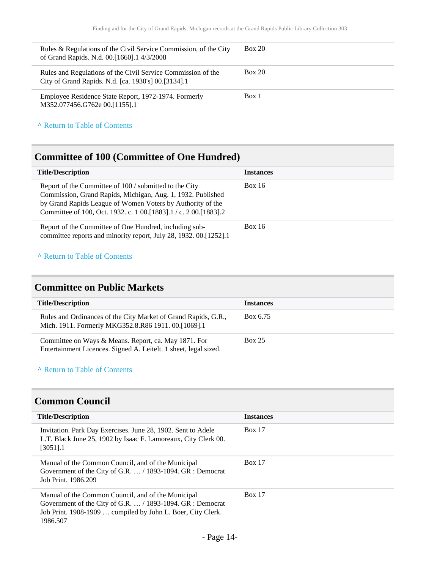| Rules & Regulations of the Civil Service Commission, of the City<br>of Grand Rapids. N.d. 00.[1660].1 4/3/2008      | Box 20 |
|---------------------------------------------------------------------------------------------------------------------|--------|
| Rules and Regulations of the Civil Service Commission of the<br>City of Grand Rapids. N.d. [ca. 1930's] 00.[3134].1 | Box 20 |
| Employee Residence State Report, 1972-1974. Formerly<br>M352.077456.G762e 00.[1155].1                               | Box 1  |

## <span id="page-13-0"></span>**Committee of 100 (Committee of One Hundred)**

| <b>Title/Description</b>                                                                                                                                                                                                                                    | <b>Instances</b> |
|-------------------------------------------------------------------------------------------------------------------------------------------------------------------------------------------------------------------------------------------------------------|------------------|
| Report of the Committee of 100 / submitted to the City<br>Commission, Grand Rapids, Michigan, Aug. 1, 1932. Published<br>by Grand Rapids League of Women Voters by Authority of the<br>Committee of 100, Oct. 1932. c. 1 00. [1883]. 1 / c. 2 00. [1883]. 2 | <b>Box 16</b>    |
| Report of the Committee of One Hundred, including sub-<br>committee reports and minority report, July 28, 1932. 00.[1252].1                                                                                                                                 | <b>Box 16</b>    |

#### **^** [Return to Table of Contents](#page-1-0)

## <span id="page-13-1"></span>**Committee on Public Markets**

| <b>Title/Description</b>                                                                                                 | <b>Instances</b> |
|--------------------------------------------------------------------------------------------------------------------------|------------------|
| Rules and Ordinances of the City Market of Grand Rapids, G.R.,<br>Mich. 1911. Formerly MKG352.8.R86 1911. 00.[1069].1    | Box 6.75         |
| Committee on Ways & Means. Report, ca. May 1871. For<br>Entertainment Licences. Signed A. Leitelt. 1 sheet, legal sized. | <b>Box 25</b>    |

### **^** [Return to Table of Contents](#page-1-0)

### <span id="page-13-2"></span>**Common Council**

| <b>Title/Description</b>                                                                                                                                                                          | <b>Instances</b> |
|---------------------------------------------------------------------------------------------------------------------------------------------------------------------------------------------------|------------------|
| Invitation. Park Day Exercises. June 28, 1902. Sent to Adele<br>L.T. Black June 25, 1902 by Isaac F. Lamoreaux, City Clerk 00.<br>$[3051]$ .1                                                     | <b>Box 17</b>    |
| Manual of the Common Council, and of the Municipal<br>Government of the City of G.R. $\dots/1893-1894$ . GR : Democrat<br>Job Print. 1986.209                                                     | <b>Box 17</b>    |
| Manual of the Common Council, and of the Municipal<br>Government of the City of G.R. $\dots/1893-1894$ . GR : Democrat<br>Job Print. 1908-1909  compiled by John L. Boer, City Clerk.<br>1986.507 | <b>Box 17</b>    |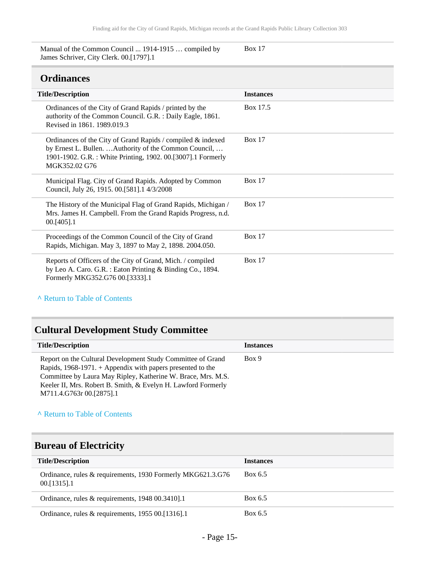Manual of the Common Council ... 1914-1915 … compiled by James Schriver, City Clerk. 00.[1797].1

#### Box 17

### <span id="page-14-0"></span>**Ordinances**

| <b>Title/Description</b>                                                                                                                                                                              | <b>Instances</b> |
|-------------------------------------------------------------------------------------------------------------------------------------------------------------------------------------------------------|------------------|
| Ordinances of the City of Grand Rapids / printed by the<br>authority of the Common Council. G.R. : Daily Eagle, 1861.<br>Revised in 1861. 1989.019.3                                                  | Box 17.5         |
| Ordinances of the City of Grand Rapids / compiled & indexed<br>by Ernest L. Bullen.  Authority of the Common Council,<br>1901-1902. G.R.: White Printing, 1902. 00.[3007].1 Formerly<br>MGK352.02 G76 | Box $17$         |
| Municipal Flag. City of Grand Rapids. Adopted by Common<br>Council, July 26, 1915. 00.[581].1 4/3/2008                                                                                                | Box $17$         |
| The History of the Municipal Flag of Grand Rapids, Michigan /<br>Mrs. James H. Campbell. From the Grand Rapids Progress, n.d.<br>$00.1405$ ].1                                                        | Box $17$         |
| Proceedings of the Common Council of the City of Grand<br>Rapids, Michigan. May 3, 1897 to May 2, 1898. 2004.050.                                                                                     | Box $17$         |
| Reports of Officers of the City of Grand, Mich. / compiled<br>by Leo A. Caro. G.R. : Eaton Printing & Binding Co., 1894.<br>Formerly MKG352.G76 00.[3333].1                                           | Box $17$         |

**^** [Return to Table of Contents](#page-1-0)

## <span id="page-14-1"></span>**Cultural Development Study Committee**

| <b>Title/Description</b>                                                                                                                                                                     | <b>Instances</b> |
|----------------------------------------------------------------------------------------------------------------------------------------------------------------------------------------------|------------------|
| Report on the Cultural Development Study Committee of Grand<br>Rapids, $1968-1971$ . + Appendix with papers presented to the<br>Committee by Laura May Ripley, Katherine W. Brace, Mrs. M.S. | Box 9            |
| Keeler II, Mrs. Robert B. Smith, & Evelyn H. Lawford Formerly<br>M711.4.G763r 00.[2875].1                                                                                                    |                  |

**^** [Return to Table of Contents](#page-1-0)

## <span id="page-14-2"></span>**Bureau of Electricity**

| <b>Title/Description</b>                                                     | <b>Instances</b> |
|------------------------------------------------------------------------------|------------------|
| Ordinance, rules & requirements, 1930 Formerly MKG621.3.G76<br>$00.1315$ ].1 | Box 6.5          |
| Ordinance, rules $\&$ requirements, 1948 00.3410.1                           | Box 6.5          |
| Ordinance, rules & requirements, 1955 00.[1316].1                            | Box 6.5          |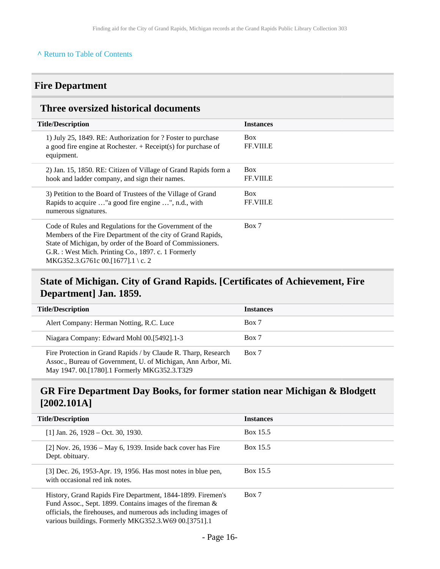## <span id="page-15-0"></span>**Fire Department**

## <span id="page-15-1"></span>**Three oversized historical documents**

| <b>Title/Description</b>                                                                                                                                                                                                                                                         | <b>Instances</b>               |
|----------------------------------------------------------------------------------------------------------------------------------------------------------------------------------------------------------------------------------------------------------------------------------|--------------------------------|
| 1) July 25, 1849. RE: Authorization for ? Foster to purchase<br>a good fire engine at Rochester. $+$ Receipt(s) for purchase of<br>equipment.                                                                                                                                    | <b>Box</b><br><b>FF.VIII.E</b> |
| 2) Jan. 15, 1850. RE: Citizen of Village of Grand Rapids form a<br>hook and ladder company, and sign their names.                                                                                                                                                                | <b>Box</b><br><b>FF.VIII.E</b> |
| 3) Petition to the Board of Trustees of the Village of Grand<br>Rapids to acquire " a good fire engine ", n.d., with<br>numerous signatures.                                                                                                                                     | <b>Box</b><br><b>FF.VIII.E</b> |
| Code of Rules and Regulations for the Government of the<br>Members of the Fire Department of the city of Grand Rapids,<br>State of Michigan, by order of the Board of Commissioners.<br>G.R. : West Mich. Printing Co., 1897. c. 1 Formerly<br>MKG352.3.G761c 00.[1677].1 \ c. 2 | Box 7                          |

## <span id="page-15-2"></span>**State of Michigan. City of Grand Rapids. [Certificates of Achievement, Fire Department] Jan. 1859.**

| <b>Title/Description</b>                                                                                                                                                       | <b>Instances</b> |
|--------------------------------------------------------------------------------------------------------------------------------------------------------------------------------|------------------|
| Alert Company: Herman Notting, R.C. Luce                                                                                                                                       | Box 7            |
| Niagara Company: Edward Mohl 00.[5492].1-3                                                                                                                                     | Box 7            |
| Fire Protection in Grand Rapids / by Claude R. Tharp, Research<br>Assoc., Bureau of Government, U. of Michigan, Ann Arbor, Mi.<br>May 1947. 00.[1780].1 Formerly MKG352.3.T329 | Box 7            |

## <span id="page-15-3"></span>**GR Fire Department Day Books, for former station near Michigan & Blodgett [2002.101A]**

| <b>Title/Description</b>                                                                                                                                                                                                                            | <b>Instances</b> |
|-----------------------------------------------------------------------------------------------------------------------------------------------------------------------------------------------------------------------------------------------------|------------------|
| $[1]$ Jan. 26, 1928 – Oct. 30, 1930.                                                                                                                                                                                                                | Box 15.5         |
| $[2]$ Nov. 26, 1936 – May 6, 1939. Inside back cover has Fire<br>Dept. obituary.                                                                                                                                                                    | Box 15.5         |
| [3] Dec. 26, 1953-Apr. 19, 1956. Has most notes in blue pen,<br>with occasional red ink notes.                                                                                                                                                      | Box 15.5         |
| History, Grand Rapids Fire Department, 1844-1899. Firemen's<br>Fund Assoc., Sept. 1899. Contains images of the fireman &<br>officials, the firehouses, and numerous ads including images of<br>various buildings. Formerly MKG352.3.W69 00.[3751].1 | Box 7            |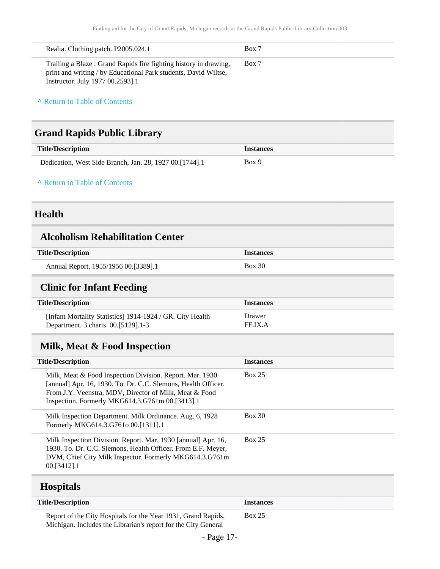| Realia. Clothing patch. P2005.024.1                                                                                                                                     | Box 7 |
|-------------------------------------------------------------------------------------------------------------------------------------------------------------------------|-------|
| Trailing a Blaze: Grand Rapids fire fighting history in drawing,<br>print and writing / by Educational Park students, David Wiltse,<br>Instructor. July 1977 00.2593].1 | Box 7 |

## <span id="page-16-0"></span>**Grand Rapids Public Library**

| <b>Title/Description</b>                                  | <i><u><b>Instances</b></u></i> |
|-----------------------------------------------------------|--------------------------------|
| Dedication, West Side Branch, Jan. 28, 1927 00. [1744]. 1 | Box 9                          |

**^** [Return to Table of Contents](#page-1-0)

## <span id="page-16-1"></span>**Health**

### <span id="page-16-2"></span>**Alcoholism Rehabilitation Center**

| <b>Title/Description</b>             | <i><u><b>Instances</b></u></i> |
|--------------------------------------|--------------------------------|
| Annual Report. 1955/1956 00.[3389].1 | Box 30                         |

## <span id="page-16-3"></span>**Clinic for Infant Feeding**

| <b>Title/Description</b>                                  | Instances |
|-----------------------------------------------------------|-----------|
| [Infant Mortality Statistics] 1914-1924 / GR. City Health | Drawer    |
| Department. 3 charts. 00. [5129]. 1-3                     | FF IX A   |

## <span id="page-16-4"></span>**Milk, Meat & Food Inspection**

| <b>Title/Description</b>                                                                                                                                                                                                               | <b>Instances</b> |
|----------------------------------------------------------------------------------------------------------------------------------------------------------------------------------------------------------------------------------------|------------------|
| Milk, Meat & Food Inspection Division. Report. Mar. 1930<br>[annual] Apr. 16, 1930. To. Dr. C.C. Slemons, Health Officer.<br>From J.Y. Veenstra, MDV, Director of Milk, Meat & Food<br>Inspection. Formerly MKG614.3.G761m 00.[3413].1 | <b>Box 25</b>    |
| Milk Inspection Department. Milk Ordinance. Aug. 6, 1928<br>Formerly MKG614.3.G761o 00.[1311].1                                                                                                                                        | Box 30           |
| Milk Inspection Division. Report. Mar. 1930 [annual] Apr. 16,<br>1930. To. Dr. C.C. Slemons, Health Officer. From E.F. Meyer,<br>DVM, Chief City Milk Inspector. Formerly MKG614.3.G761m<br>00. [3412] . 1                             | <b>Box 25</b>    |

## <span id="page-16-5"></span>**Hospitals**

| <b>Title/Description</b>                                                                                                        | <b>Instances</b> |
|---------------------------------------------------------------------------------------------------------------------------------|------------------|
| Report of the City Hospitals for the Year 1931, Grand Rapids,<br>Michigan. Includes the Librarian's report for the City General | Box 25           |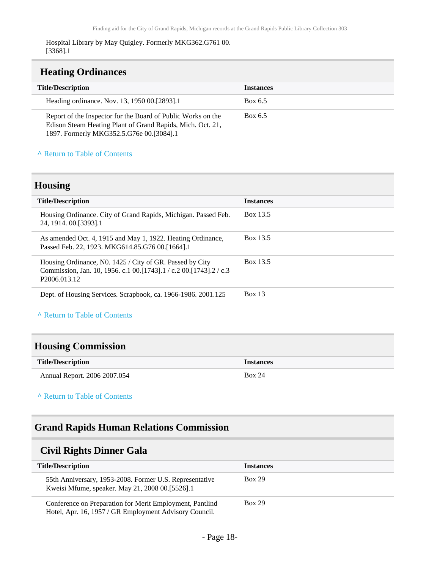#### Hospital Library by May Quigley. Formerly MKG362.G761 00. [3368].1

### <span id="page-17-0"></span>**Heating Ordinances**

| <b>Title/Description</b>                                                                                                                                               | <b>Instances</b> |  |
|------------------------------------------------------------------------------------------------------------------------------------------------------------------------|------------------|--|
| Heading ordinance. Nov. 13, 1950 00. [2893]. 1                                                                                                                         | Box 6.5          |  |
| Report of the Inspector for the Board of Public Works on the<br>Edison Steam Heating Plant of Grand Rapids, Mich. Oct. 21,<br>1897. Formerly MKG352.5.G76e 00.[3084].1 | Box 6.5          |  |

#### **^** [Return to Table of Contents](#page-1-0)

### <span id="page-17-1"></span>**Housing**

| <b>Title/Description</b>                                                                                                                                       | <b>Instances</b> |
|----------------------------------------------------------------------------------------------------------------------------------------------------------------|------------------|
| Housing Ordinance. City of Grand Rapids, Michigan. Passed Feb.<br>24, 1914, 00. [3393]. 1                                                                      | Box 13.5         |
| As amended Oct. 4, 1915 and May 1, 1922. Heating Ordinance,<br>Passed Feb. 22, 1923. MKG614.85.G76 00.[1664].1                                                 | Box 13.5         |
| Housing Ordinance, No. 1425 / City of GR. Passed by City<br>Commission, Jan. 10, 1956. c.1 00. [1743]. 1 / c.2 00. [1743]. 2 / c.3<br>P <sub>2006.013.12</sub> | Box 13.5         |
| Dept. of Housing Services. Scrapbook, ca. 1966-1986. 2001.125                                                                                                  | <b>Box 13</b>    |

**^** [Return to Table of Contents](#page-1-0)

## <span id="page-17-2"></span>**Housing Commission**

| <b>Title/Description</b>     | <b>Instances</b> |
|------------------------------|------------------|
| Annual Report. 2006 2007.054 | <b>Box 24</b>    |

#### **^** [Return to Table of Contents](#page-1-0)

## <span id="page-17-3"></span>**Grand Rapids Human Relations Commission**

### <span id="page-17-4"></span>**Civil Rights Dinner Gala**

| <b>Title/Description</b>                                                                                           | <b>Instances</b> |
|--------------------------------------------------------------------------------------------------------------------|------------------|
| 55th Anniversary, 1953-2008. Former U.S. Representative<br>Kweisi Mfume, speaker. May 21, 2008 00.[5526].1         | <b>Box 29</b>    |
| Conference on Preparation for Merit Employment, Pantlind<br>Hotel, Apr. 16, 1957 / GR Employment Advisory Council. | <b>Box 29</b>    |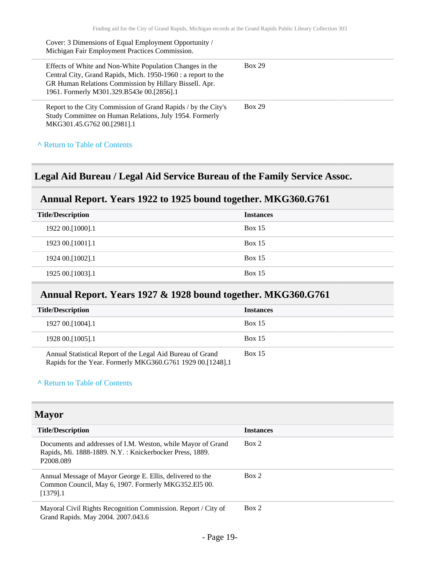| Cover: 3 Dimensions of Equal Employment Opportunity /<br>Michigan Fair Employment Practices Commission.                                                                                                                          |               |
|----------------------------------------------------------------------------------------------------------------------------------------------------------------------------------------------------------------------------------|---------------|
| Effects of White and Non-White Population Changes in the<br>Central City, Grand Rapids, Mich. 1950-1960 : a report to the<br>GR Human Relations Commission by Hillary Bissell. Apr.<br>1961. Formerly M301.329.B543e 00.[2856].1 | <b>Box 29</b> |
| Report to the City Commission of Grand Rapids / by the City's<br>Study Committee on Human Relations, July 1954. Formerly<br>MKG301.45.G762 00.[2981].1                                                                           | <b>Box 29</b> |
| A Return to Table of Contents                                                                                                                                                                                                    |               |

## <span id="page-18-0"></span>**Legal Aid Bureau / Legal Aid Service Bureau of the Family Service Assoc.**

## <span id="page-18-1"></span>**Annual Report. Years 1922 to 1925 bound together. MKG360.G761**

| <b>Title/Description</b> | <b>Instances</b> |
|--------------------------|------------------|
| 1922 00.[1000].1         | <b>Box 15</b>    |
| 1923 00.[1001].1         | Box $15$         |
| 1924 00.[1002].1         | Box $15$         |
| 1925 00.[1003].1         | <b>Box 15</b>    |
|                          |                  |

## <span id="page-18-2"></span>**Annual Report. Years 1927 & 1928 bound together. MKG360.G761**

| <b>Title/Description</b> |                                                                                                                          | <b>Instances</b> |
|--------------------------|--------------------------------------------------------------------------------------------------------------------------|------------------|
| 1927 00. [1004]. 1       |                                                                                                                          | <b>Box 15</b>    |
| 1928 00. [1005]. 1       |                                                                                                                          | <b>Box 15</b>    |
|                          | Annual Statistical Report of the Legal Aid Bureau of Grand<br>Rapids for the Year. Formerly MKG360.G761 1929 00.[1248].1 | <b>Box 15</b>    |

#### **^** [Return to Table of Contents](#page-1-0)

<span id="page-18-3"></span>

| <b>Mayor</b>                                                                                                                                     |                  |  |
|--------------------------------------------------------------------------------------------------------------------------------------------------|------------------|--|
| <b>Title/Description</b>                                                                                                                         | <b>Instances</b> |  |
| Documents and addresses of I.M. Weston, while Mayor of Grand<br>Rapids, Mi. 1888-1889. N.Y.: Knickerbocker Press, 1889.<br>P <sub>2008.089</sub> | Box 2            |  |
| Annual Message of Mayor George E. Ellis, delivered to the<br>Common Council, May 6, 1907. Formerly MKG352.El5 00.<br>$[1379]$ .1                 | Box 2            |  |
| Mayoral Civil Rights Recognition Commission. Report / City of<br>Grand Rapids. May 2004. 2007.043.6                                              | Box 2            |  |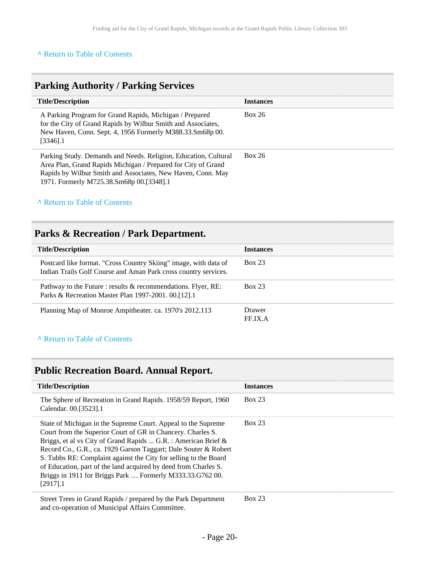## <span id="page-19-0"></span>**Parking Authority / Parking Services**

| <b>Title/Description</b>                                                                                                                                                                                                                    | <b>Instances</b> |
|---------------------------------------------------------------------------------------------------------------------------------------------------------------------------------------------------------------------------------------------|------------------|
| A Parking Program for Grand Rapids, Michigan / Prepared<br>for the City of Grand Rapids by Wilbur Smith and Associates,<br>New Haven, Conn. Sept. 4, 1956 Formerly M388.33.Sm68p 00.<br>$[3346]$ .1                                         | Box 26           |
| Parking Study. Demands and Needs. Religion, Education, Cultural<br>Area Plan, Grand Rapids Michigan / Prepared for City of Grand<br>Rapids by Wilbur Smith and Associates, New Haven, Conn. May<br>1971. Formerly M725.38.Sm68p 00.[3348].1 | Box 26           |

### **^** [Return to Table of Contents](#page-1-0)

## <span id="page-19-1"></span>**Parks & Recreation / Park Department.**

| <b>Title/Description</b>                                                                                                            | <b>Instances</b>  |
|-------------------------------------------------------------------------------------------------------------------------------------|-------------------|
| Postcard like format. "Cross Country Skiing" image, with data of<br>Indian Trails Golf Course and Aman Park cross country services. | <b>Box 23</b>     |
| Pathway to the Future : results & recommendations. Flyer, RE:<br>Parks & Recreation Master Plan 1997-2001. 00.[12].1                | Box 23            |
| Planning Map of Monroe Ampitheater. ca. 1970's 2012.113                                                                             | Drawer<br>FF.IX.A |

#### **^** [Return to Table of Contents](#page-1-0)

## <span id="page-19-2"></span>**Public Recreation Board. Annual Report.**

| <b>Title/Description</b>                                                                                                                                                                                                                                                                                                                                                                                                                                                             | <b>Instances</b> |
|--------------------------------------------------------------------------------------------------------------------------------------------------------------------------------------------------------------------------------------------------------------------------------------------------------------------------------------------------------------------------------------------------------------------------------------------------------------------------------------|------------------|
| The Sphere of Recreation in Grand Rapids. 1958/59 Report, 1960<br>Calendar. 00.[3523].1                                                                                                                                                                                                                                                                                                                                                                                              | <b>Box 23</b>    |
| State of Michigan in the Supreme Court. Appeal to the Supreme<br>Court from the Superior Court of GR in Chancery. Charles S.<br>Briggs, et al vs City of Grand Rapids  G.R. : American Brief &<br>Record Co., G.R., ca. 1929 Garson Taggart; Dale Souter & Robert<br>S. Tubbs RE: Complaint against the City for selling to the Board<br>of Education, part of the land acquired by deed from Charles S.<br>Briggs in 1911 for Briggs Park  Formerly M333.33.G762 00.<br>$[2917]$ .1 | <b>Box 23</b>    |
| Street Trees in Grand Rapids / prepared by the Park Department                                                                                                                                                                                                                                                                                                                                                                                                                       | <b>Box 23</b>    |

and co-operation of Municipal Affairs Committee.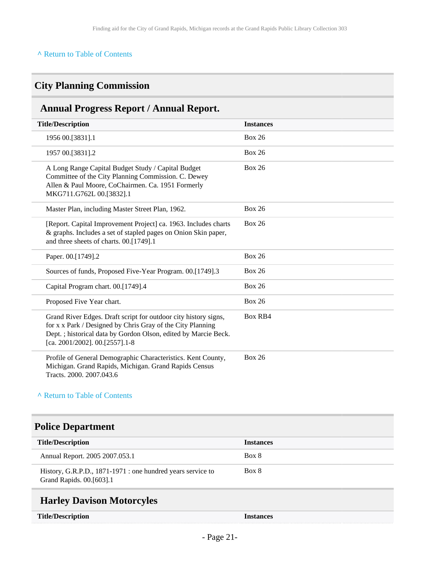## <span id="page-20-0"></span>**City Planning Commission**

## <span id="page-20-1"></span>**Annual Progress Report / Annual Report.**

| <b>Title/Description</b>                                                                                                                                                                                                          | <b>Instances</b> |
|-----------------------------------------------------------------------------------------------------------------------------------------------------------------------------------------------------------------------------------|------------------|
| 1956 00.[3831].1                                                                                                                                                                                                                  | <b>Box 26</b>    |
| 1957 00.[3831].2                                                                                                                                                                                                                  | <b>Box 26</b>    |
| A Long Range Capital Budget Study / Capital Budget<br>Committee of the City Planning Commission. C. Dewey<br>Allen & Paul Moore, CoChairmen. Ca. 1951 Formerly<br>MKG711.G762L 00.[3832].1                                        | <b>Box 26</b>    |
| Master Plan, including Master Street Plan, 1962.                                                                                                                                                                                  | <b>Box 26</b>    |
| [Report. Capital Improvement Project] ca. 1963. Includes charts<br>& graphs. Includes a set of stapled pages on Onion Skin paper,<br>and three sheets of charts. 00.[1749].1                                                      | <b>Box 26</b>    |
| Paper. 00.[1749].2                                                                                                                                                                                                                | <b>Box 26</b>    |
| Sources of funds, Proposed Five-Year Program. 00.[1749].3                                                                                                                                                                         | <b>Box 26</b>    |
| Capital Program chart. 00.[1749].4                                                                                                                                                                                                | <b>Box 26</b>    |
| Proposed Five Year chart.                                                                                                                                                                                                         | <b>Box 26</b>    |
| Grand River Edges. Draft script for outdoor city history signs,<br>for x x Park / Designed by Chris Gray of the City Planning<br>Dept.; historical data by Gordon Olson, edited by Marcie Beck.<br>[ca. 2001/2002]. 00.[2557].1-8 | <b>Box RB4</b>   |
| Profile of General Demographic Characteristics. Kent County,<br>Michigan. Grand Rapids, Michigan. Grand Rapids Census<br>Tracts. 2000. 2007.043.6                                                                                 | <b>Box 26</b>    |

#### **^** [Return to Table of Contents](#page-1-0)

## <span id="page-20-2"></span>**Police Department**

| <b>Title/Description</b>                                                                | <b>Instances</b> |
|-----------------------------------------------------------------------------------------|------------------|
| Annual Report. 2005 2007.053.1                                                          | Box 8            |
| History, G.R.P.D., 1871-1971 : one hundred years service to<br>Grand Rapids. 00.[603].1 | Box 8            |
|                                                                                         |                  |

### <span id="page-20-3"></span>**Harley Davison Motorcyles**

| <b>Title/Description</b> |  |
|--------------------------|--|
|--------------------------|--|

**Title/Description Instances**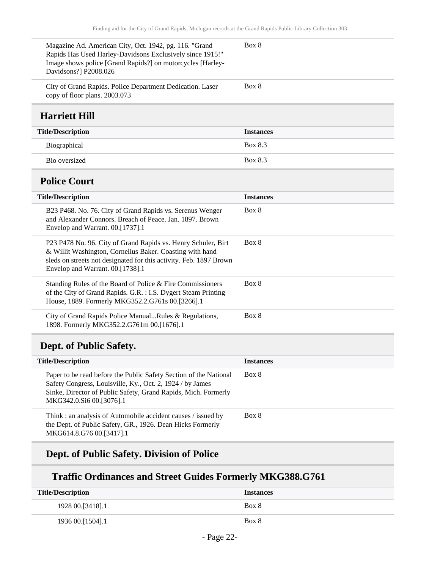<span id="page-21-0"></span>

| Magazine Ad. American City, Oct. 1942, pg. 116. "Grand<br>Rapids Has Used Harley-Davidsons Exclusively since 1915!"<br>Image shows police [Grand Rapids?] on motorcycles [Harley-<br>Davidsons?] P2008.026 | Box 8            |
|------------------------------------------------------------------------------------------------------------------------------------------------------------------------------------------------------------|------------------|
| City of Grand Rapids. Police Department Dedication. Laser<br>copy of floor plans. 2003.073                                                                                                                 | Box 8            |
| <b>Harriett Hill</b>                                                                                                                                                                                       |                  |
| <b>Title/Description</b>                                                                                                                                                                                   | <b>Instances</b> |
| Biographical                                                                                                                                                                                               | Box 8.3          |
| Bio oversized                                                                                                                                                                                              | Box 8.3          |
| <b>Police Court</b>                                                                                                                                                                                        |                  |
| <b>Title/Description</b>                                                                                                                                                                                   | <b>Instances</b> |
| B23 P468. No. 76. City of Grand Rapids vs. Serenus Wenger<br>and Alexander Connors. Breach of Peace. Jan. 1897. Brown                                                                                      | Box 8            |

<span id="page-21-1"></span>

| Envelop and Warrant. 00.[1737].1                                                                                                                                                                                                    |       |
|-------------------------------------------------------------------------------------------------------------------------------------------------------------------------------------------------------------------------------------|-------|
| P23 P478 No. 96. City of Grand Rapids vs. Henry Schuler, Birt<br>& Willit Washington, Cornelius Baker. Coasting with hand<br>sleds on streets not designated for this activity. Feb. 1897 Brown<br>Envelop and Warrant. 00.[1738].1 | Box 8 |
| Standing Rules of the Board of Police & Fire Commissioners<br>of the City of Grand Rapids. G.R. : I.S. Dygert Steam Printing<br>House, 1889. Formerly MKG352.2.G761s 00.[3266].1                                                    | Box 8 |
| City of Grand Rapids Police ManualRules & Regulations,<br>1898. Formerly MKG352.2.G761m 00.[1676].1                                                                                                                                 | Box 8 |

## <span id="page-21-2"></span>**Dept. of Public Safety.**

| <b>Title/Description</b>                                                                                                                                                                                                     | <b>Instances</b> |
|------------------------------------------------------------------------------------------------------------------------------------------------------------------------------------------------------------------------------|------------------|
| Paper to be read before the Public Safety Section of the National<br>Safety Congress, Louisville, Ky., Oct. 2, 1924 / by James<br>Sinke, Director of Public Safety, Grand Rapids, Mich. Formerly<br>MKG342.0.Si6 00.[3076].1 | Box 8            |
| Think: an analysis of Automobile accident causes / issued by<br>the Dept. of Public Safety, GR., 1926. Dean Hicks Formerly<br>MKG614.8.G76 00.[3417].1                                                                       | Box 8            |

## **Dept. of Public Safety. Division of Police**

## **Traffic Ordinances and Street Guides Formerly MKG388.G761**

| <b>Title/Description</b> | <b>Instances</b> |
|--------------------------|------------------|
| 1928 00. [3418]. 1       | Box 8            |
| 1936 00.[1504].1         | Box 8            |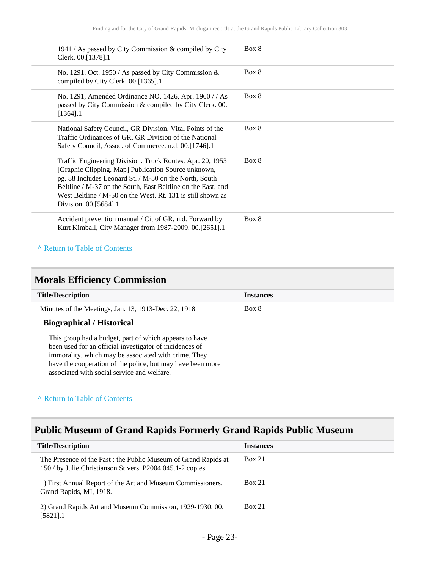| 1941 / As passed by City Commission & compiled by City<br>Clerk. 00.[1378].1                                                                                                                                                                                                                                                       | Box 8 |
|------------------------------------------------------------------------------------------------------------------------------------------------------------------------------------------------------------------------------------------------------------------------------------------------------------------------------------|-------|
| No. 1291. Oct. 1950 / As passed by City Commission $\&$<br>compiled by City Clerk. 00.[1365].1                                                                                                                                                                                                                                     | Box 8 |
| No. 1291, Amended Ordinance NO. 1426, Apr. 1960 / / As<br>passed by City Commission & compiled by City Clerk. 00.<br>$[1364]$ .1                                                                                                                                                                                                   | Box 8 |
| National Safety Council, GR Division. Vital Points of the<br>Traffic Ordinances of GR. GR Division of the National<br>Safety Council, Assoc. of Commerce. n.d. 00.[1746].1                                                                                                                                                         | Box 8 |
| Traffic Engineering Division. Truck Routes. Apr. 20, 1953<br>[Graphic Clipping. Map] Publication Source unknown,<br>pg. 88 Includes Leonard St. / M-50 on the North, South<br>Beltline / M-37 on the South, East Beltline on the East, and<br>West Beltline / M-50 on the West, Rt. 131 is still shown as<br>Division. 00.[5684].1 | Box 8 |
| Accident prevention manual / Cit of GR, n.d. Forward by<br>Kurt Kimball, City Manager from 1987-2009. 00.[2651].1                                                                                                                                                                                                                  | Box 8 |

## <span id="page-22-0"></span>**Morals Efficiency Commission**

| <b>Title/Description</b>                                                                                                                                                                                                                                                               | <b>Instances</b> |
|----------------------------------------------------------------------------------------------------------------------------------------------------------------------------------------------------------------------------------------------------------------------------------------|------------------|
| Minutes of the Meetings, Jan. 13, 1913-Dec. 22, 1918                                                                                                                                                                                                                                   | Box 8            |
| <b>Biographical / Historical</b>                                                                                                                                                                                                                                                       |                  |
| This group had a budget, part of which appears to have<br>been used for an official investigator of incidences of<br>immorality, which may be associated with crime. They<br>have the cooperation of the police, but may have been more<br>associated with social service and welfare. |                  |

### **^** [Return to Table of Contents](#page-1-0)

## <span id="page-22-1"></span>**Public Museum of Grand Rapids Formerly Grand Rapids Public Museum**

| <b>Title/Description</b>                                                                                                     | <b>Instances</b> |
|------------------------------------------------------------------------------------------------------------------------------|------------------|
| The Presence of the Past : the Public Museum of Grand Rapids at<br>150 / by Julie Christianson Stivers. P2004.045.1-2 copies | Box 21           |
| 1) First Annual Report of the Art and Museum Commissioners,<br>Grand Rapids, MI, 1918.                                       | Box 21           |
| 2) Grand Rapids Art and Museum Commission, 1929-1930. 00.<br>$[5821]$ .1                                                     | <b>Box 21</b>    |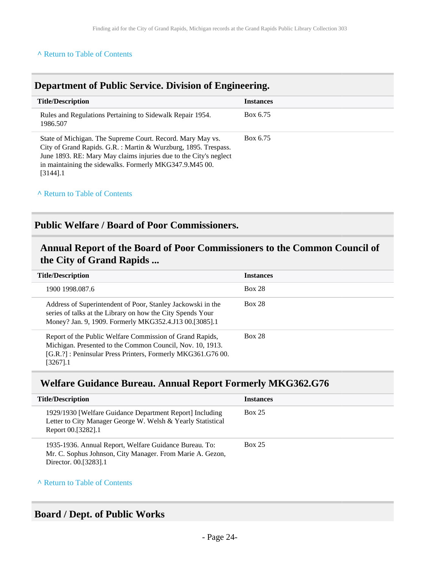## <span id="page-23-0"></span>**Department of Public Service. Division of Engineering.**

| <b>Title/Description</b>                                                                                                                                                                                                                                                     | <b>Instances</b> |
|------------------------------------------------------------------------------------------------------------------------------------------------------------------------------------------------------------------------------------------------------------------------------|------------------|
| Rules and Regulations Pertaining to Sidewalk Repair 1954.<br>1986.507                                                                                                                                                                                                        | Box 6.75         |
| State of Michigan. The Supreme Court. Record. Mary May vs.<br>City of Grand Rapids. G.R. : Martin & Wurzburg, 1895. Trespass.<br>June 1893. RE: Mary May claims injuries due to the City's neglect<br>in maintaining the sidewalks. Formerly MKG347.9.M45 00.<br>$[3144]$ .1 | Box 6.75         |

### **^** [Return to Table of Contents](#page-1-0)

### <span id="page-23-1"></span>**Public Welfare / Board of Poor Commissioners.**

## <span id="page-23-2"></span>**Annual Report of the Board of Poor Commissioners to the Common Council of the City of Grand Rapids ...**

| <b>Title/Description</b>                                                                                                                                                                        | <b>Instances</b> |
|-------------------------------------------------------------------------------------------------------------------------------------------------------------------------------------------------|------------------|
| 1900 1998.087.6                                                                                                                                                                                 | <b>Box 28</b>    |
| Address of Superintendent of Poor, Stanley Jackowski in the<br>series of talks at the Library on how the City Spends Your<br>Money? Jan. 9, 1909. Formerly MKG352.4.J13 00.[3085].1             | <b>Box 28</b>    |
| Report of the Public Welfare Commission of Grand Rapids,<br>Michigan. Presented to the Common Council, Nov. 10, 1913.<br>[G.R.?]: Peninsular Press Printers, Formerly MKG361.G76 00.<br>32671.1 | <b>Box 28</b>    |

## <span id="page-23-3"></span>**Welfare Guidance Bureau. Annual Report Formerly MKG362.G76**

| <b>Title/Description</b>                                                                                                                      | <b>Instances</b> |
|-----------------------------------------------------------------------------------------------------------------------------------------------|------------------|
| 1929/1930 [Welfare Guidance Department Report] Including<br>Letter to City Manager George W. Welsh & Yearly Statistical<br>Report 00.[3282].1 | <b>Box 25</b>    |
| 1935-1936. Annual Report, Welfare Guidance Bureau. To:<br>Mr. C. Sophus Johnson, City Manager. From Marie A. Gezon,<br>Director. 00.[3283].1  | <b>Box 25</b>    |

#### **^** [Return to Table of Contents](#page-1-0)

### <span id="page-23-4"></span>**Board / Dept. of Public Works**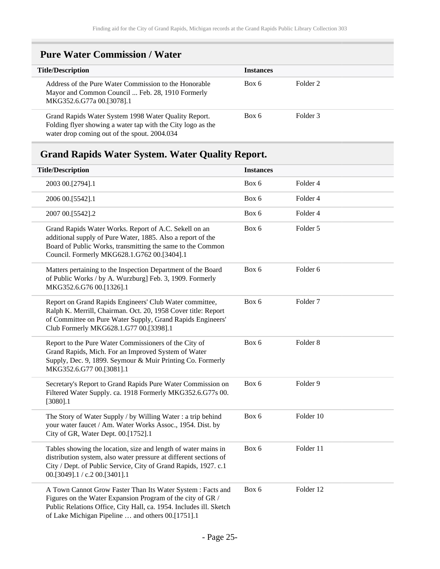## <span id="page-24-0"></span>**Pure Water Commission / Water**

| <b>Title/Description</b>                                                                                                                                            | <b>Instances</b> |          |
|---------------------------------------------------------------------------------------------------------------------------------------------------------------------|------------------|----------|
| Address of the Pure Water Commission to the Honorable<br>Mayor and Common Council  Feb. 28, 1910 Formerly<br>MKG352.6.G77a 00.[3078].1                              | Box 6            | Folder 2 |
| Grand Rapids Water System 1998 Water Quality Report.<br>Folding flyer showing a water tap with the City logo as the<br>water drop coming out of the spout. 2004.034 | Box 6            | Folder 3 |

## <span id="page-24-1"></span>**Grand Rapids Water System. Water Quality Report.**

| <b>Title/Description</b>                                                                                                                                                                                                                             | <b>Instances</b> |                     |
|------------------------------------------------------------------------------------------------------------------------------------------------------------------------------------------------------------------------------------------------------|------------------|---------------------|
| 2003 00.[2794].1                                                                                                                                                                                                                                     | Box 6            | Folder 4            |
| 2006 00.[5542].1                                                                                                                                                                                                                                     | Box 6            | Folder 4            |
| 2007 00.[5542].2                                                                                                                                                                                                                                     | Box 6            | Folder 4            |
| Grand Rapids Water Works. Report of A.C. Sekell on an<br>additional supply of Pure Water, 1885. Also a report of the<br>Board of Public Works, transmitting the same to the Common<br>Council. Formerly MKG628.1.G762 00.[3404].1                    | Box 6            | Folder 5            |
| Matters pertaining to the Inspection Department of the Board<br>of Public Works / by A. Wurzburg] Feb. 3, 1909. Formerly<br>MKG352.6.G76 00.[1326].1                                                                                                 | Box 6            | Folder 6            |
| Report on Grand Rapids Engineers' Club Water committee,<br>Ralph K. Merrill, Chairman. Oct. 20, 1958 Cover title: Report<br>of Committee on Pure Water Supply, Grand Rapids Engineers'<br>Club Formerly MKG628.1.G77 00.[3398].1                     | Box 6            | Folder <sub>7</sub> |
| Report to the Pure Water Commissioners of the City of<br>Grand Rapids, Mich. For an Improved System of Water<br>Supply, Dec. 9, 1899. Seymour & Muir Printing Co. Formerly<br>MKG352.6.G77 00.[3081].1                                               | Box 6            | Folder <sub>8</sub> |
| Secretary's Report to Grand Rapids Pure Water Commission on<br>Filtered Water Supply. ca. 1918 Formerly MKG352.6.G77s 00.<br>$[3080]$ .1                                                                                                             | Box 6            | Folder 9            |
| The Story of Water Supply / by Willing Water : a trip behind<br>your water faucet / Am. Water Works Assoc., 1954. Dist. by<br>City of GR, Water Dept. 00.[1752].1                                                                                    | Box 6            | Folder 10           |
| Tables showing the location, size and length of water mains in<br>distribution system, also water pressure at different sections of<br>City / Dept. of Public Service, City of Grand Rapids, 1927. c.1<br>00.[3049].1 / c.2 00.[3401].1              | Box 6            | Folder 11           |
| A Town Cannot Grow Faster Than Its Water System : Facts and<br>Figures on the Water Expansion Program of the city of GR /<br>Public Relations Office, City Hall, ca. 1954. Includes ill. Sketch<br>of Lake Michigan Pipeline  and others 00.[1751].1 | Box 6            | Folder 12           |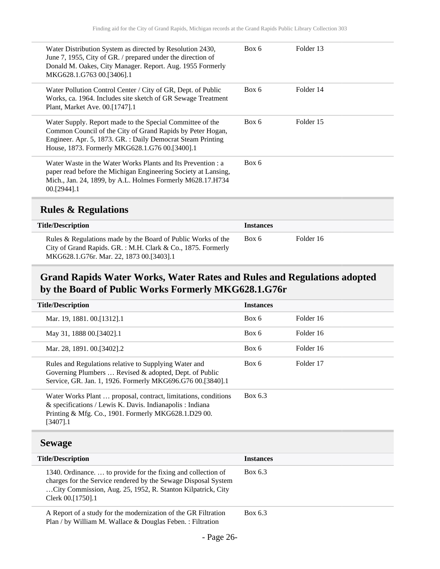| Water Distribution System as directed by Resolution 2430,<br>June 7, 1955, City of GR. / prepared under the direction of<br>Donald M. Oakes, City Manager. Report. Aug. 1955 Formerly<br>MKG628.1.G763 00.[3406].1                       | Box 6 | Folder 13 |
|------------------------------------------------------------------------------------------------------------------------------------------------------------------------------------------------------------------------------------------|-------|-----------|
| Water Pollution Control Center / City of GR, Dept. of Public<br>Works, ca. 1964. Includes site sketch of GR Sewage Treatment<br>Plant, Market Ave. 00.[1747].1                                                                           | Box 6 | Folder 14 |
| Water Supply. Report made to the Special Committee of the<br>Common Council of the City of Grand Rapids by Peter Hogan,<br>Engineer. Apr. 5, 1873. GR. : Daily Democrat Steam Printing<br>House, 1873. Formerly MKG628.1.G76 00.[3400].1 | Box 6 | Folder 15 |
| Water Waste in the Water Works Plants and Its Prevention : a<br>paper read before the Michigan Engineering Society at Lansing,<br>Mich., Jan. 24, 1899, by A.L. Holmes Formerly M628.17.H734<br>$00.$ [2944].1                           | Box 6 |           |
|                                                                                                                                                                                                                                          |       |           |

## <span id="page-25-0"></span>**Rules & Regulations**

| <b>Title/Description</b>                                                                                                                                                | <b>Instances</b> |           |
|-------------------------------------------------------------------------------------------------------------------------------------------------------------------------|------------------|-----------|
| Rules & Regulations made by the Board of Public Works of the<br>City of Grand Rapids. GR.: M.H. Clark & Co., 1875. Formerly<br>MKG628.1.G76r. Mar. 22, 1873 00.[3403].1 | Box 6            | Folder 16 |

## <span id="page-25-1"></span>**Grand Rapids Water Works, Water Rates and Rules and Regulations adopted by the Board of Public Works Formerly MKG628.1.G76r**

| <b>Title/Description</b>                                                                                                                                                                        | <b>Instances</b> |           |
|-------------------------------------------------------------------------------------------------------------------------------------------------------------------------------------------------|------------------|-----------|
| Mar. 19, 1881. 00. [1312]. 1                                                                                                                                                                    | Box 6            | Folder 16 |
| May 31, 1888 00. [3402]. 1                                                                                                                                                                      | Box 6            | Folder 16 |
| Mar. 28, 1891. 00. [3402]. 2                                                                                                                                                                    | Box 6            | Folder 16 |
| Rules and Regulations relative to Supplying Water and<br>Governing Plumbers  Revised & adopted, Dept. of Public<br>Service, GR. Jan. 1, 1926. Formerly MKG696.G76 00.[3840].1                   | Box 6            | Folder 17 |
| Water Works Plant  proposal, contract, limitations, conditions<br>& specifications / Lewis K. Davis. Indianapolis : Indiana<br>Printing & Mfg. Co., 1901. Formerly MKG628.1.D29 00.<br>[3407].1 | Box 6.3          |           |

### <span id="page-25-2"></span>**Sewage**

| <b>Title/Description</b>                                                                                                                                                                                            | <b>Instances</b> |
|---------------------------------------------------------------------------------------------------------------------------------------------------------------------------------------------------------------------|------------------|
| 1340. Ordinance.  to provide for the fixing and collection of<br>charges for the Service rendered by the Sewage Disposal System<br>City Commission, Aug. 25, 1952, R. Stanton Kilpatrick, City<br>Clerk 00.[1750].1 | Box 6.3          |
| A Report of a study for the modernization of the GR Filtration<br>Plan / by William M. Wallace & Douglas Feben.: Filtration                                                                                         | Box 6.3          |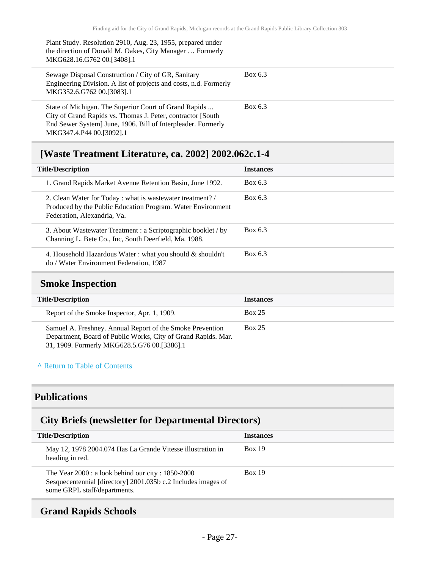Plant Study. Resolution 2910, Aug. 23, 1955, prepared under the direction of Donald M. Oakes, City Manager … Formerly MKG628.16.G762 00.[3408].1

| Sewage Disposal Construction / City of GR, Sanitary<br>Engineering Division. A list of projects and costs, n.d. Formerly<br>MKG352.6.G762 00.[3083].1 | Box 6.3 |
|-------------------------------------------------------------------------------------------------------------------------------------------------------|---------|
| State of Michigan. The Superior Court of Grand Rapids<br>City of Grand Rapids vs. Thomas J. Peter, contractor [South]                                 | Box 6.3 |
|                                                                                                                                                       |         |

End Sewer System] June, 1906. Bill of Interpleader. Formerly MKG347.4.P44 00.[3092].1

## <span id="page-26-0"></span>**[Waste Treatment Literature, ca. 2002] 2002.062c.1-4**

| <b>Title/Description</b>                                                                                                                                 | <b>Instances</b> |
|----------------------------------------------------------------------------------------------------------------------------------------------------------|------------------|
| 1. Grand Rapids Market Avenue Retention Basin, June 1992.                                                                                                | Box 6.3          |
| 2. Clean Water for Today : what is wastewater treatment? /<br>Produced by the Public Education Program. Water Environment<br>Federation, Alexandria, Va. | Box 6.3          |
| 3. About Wastewater Treatment : a Scriptographic booklet / by<br>Channing L. Bete Co., Inc, South Deerfield, Ma. 1988.                                   | Box 6.3          |
| 4. Household Hazardous Water : what you should $\&$ shouldn't<br>do / Water Environment Federation, 1987                                                 | Box 6.3          |

### <span id="page-26-1"></span>**Smoke Inspection**

| <b>Title/Description</b>                                                                                                                                                  | <b>Instances</b> |
|---------------------------------------------------------------------------------------------------------------------------------------------------------------------------|------------------|
| Report of the Smoke Inspector, Apr. 1, 1909.                                                                                                                              | <b>Box 25</b>    |
| Samuel A. Freshney. Annual Report of the Smoke Prevention<br>Department, Board of Public Works, City of Grand Rapids. Mar.<br>31, 1909. Formerly MKG628.5.G76 00.[3386].1 | <b>Box 25</b>    |

#### **^** [Return to Table of Contents](#page-1-0)

## <span id="page-26-2"></span>**Publications**

## <span id="page-26-3"></span>**City Briefs (newsletter for Departmental Directors)**

| <b>Title/Description</b>                                                                                                                             | <b>Instances</b> |
|------------------------------------------------------------------------------------------------------------------------------------------------------|------------------|
| May 12, 1978 2004.074 Has La Grande Vitesse illustration in<br>heading in red.                                                                       | <b>Box 19</b>    |
| The Year $2000$ : a look behind our city: 1850-2000<br>Sesquecentennial [directory] 2001.035b c.2 Includes images of<br>some GRPL staff/departments. | <b>Box 19</b>    |

### <span id="page-26-4"></span>**Grand Rapids Schools**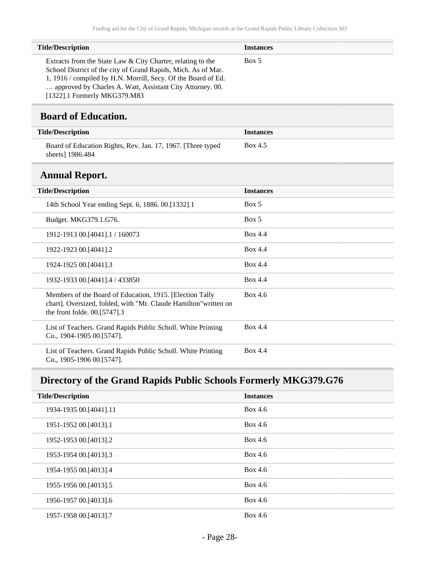| <b>Title/Description</b>                                                                                                                                                                                                                                   | <b>Instances</b> |
|------------------------------------------------------------------------------------------------------------------------------------------------------------------------------------------------------------------------------------------------------------|------------------|
| Extracts from the State Law & City Charter, relating to the<br>School District of the city of Grand Rapids, Mich. As of Mar.<br>1, 1916 / compiled by H.N. Morrill, Secy. Of the Board of Ed.<br>approved by Charles A. Watt, Assistant City Attorney. 00. | Box 5            |

[1322].1 Formerly MKG379.M83

## <span id="page-27-0"></span>**Board of Education.**

| <b>Title/Description</b>                                                         | <b>Instances</b> |
|----------------------------------------------------------------------------------|------------------|
| Board of Education Rights, Rev. Jan. 17, 1967. [Three typed]<br>sheets] 1986.484 | Box 4.5          |
| <b>Annual Report.</b>                                                            |                  |
| <b>Title/Description</b>                                                         | <b>Instances</b> |

<span id="page-27-1"></span>

| THE Description                                                                                                                                                | mstances       |
|----------------------------------------------------------------------------------------------------------------------------------------------------------------|----------------|
| 14th School Year ending Sept. 6, 1886. 00. [1332]. 1                                                                                                           | Box 5          |
| Budget. MKG379.1.G76.                                                                                                                                          | Box 5          |
| 1912-1913 00. [4041] . 1 / 160073                                                                                                                              | <b>Box 4.4</b> |
| 1922-1923 00.[4041].2                                                                                                                                          | <b>Box 4.4</b> |
| 1924-1925 00.[4041].3                                                                                                                                          | <b>Box 4.4</b> |
| 1932-1933 00. [4041] .4 / 433850                                                                                                                               | Box 4.4        |
| Members of the Board of Education, 1915. [Election Tally<br>chart]. Oversized, folded, with "Mr. Claude Hamilton" written on<br>the front folde. $00.5747$ ].3 | Box 4.6        |
| List of Teachers. Grand Rapids Public Scholl. White Printing<br>$Co., 1904-190500.5747$ .                                                                      | Box 4.4        |
| List of Teachers. Grand Rapids Public Scholl. White Printing<br>Co., 1905-1906 00.[5747].                                                                      | Box 4.4        |

## <span id="page-27-2"></span>**Directory of the Grand Rapids Public Schools Formerly MKG379.G76**

| <b>Title/Description</b> | <b>Instances</b> |
|--------------------------|------------------|
| 1934-1935 00.[4041].11   | Box 4.6          |
| 1951-1952 00. [4013]. 1  | Box 4.6          |
| 1952-1953 00.[4013].2    | Box 4.6          |
| 1953-1954 00. [4013] .3  | Box 4.6          |
| 1954-1955 00.[4013].4    | Box 4.6          |
| 1955-1956 00. [4013] .5  | Box 4.6          |
| 1956-1957 00.[4013].6    | Box 4.6          |
| 1957-1958 00.[4013].7    | Box 4.6          |
|                          |                  |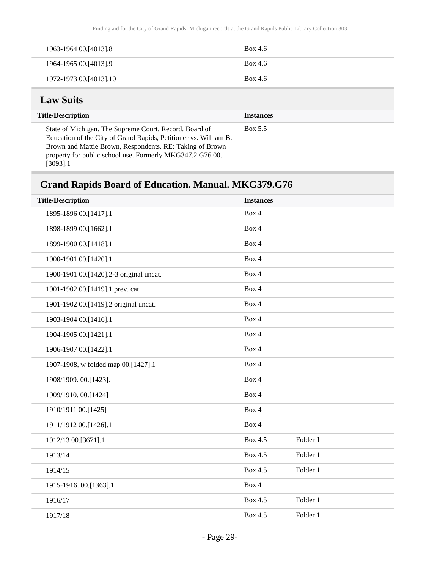| 1963-1964 00.[4013].8  | Box 4.6 |
|------------------------|---------|
| 1964-1965 00.[4013].9  | Box 4.6 |
| 1972-1973 00.[4013].10 | Box 4.6 |

## <span id="page-28-0"></span>**Law Suits**

 $\overline{a}$ 

| <b>Title/Description</b>                                                                                                                                                                                                                                        | <b>Instances</b> |
|-----------------------------------------------------------------------------------------------------------------------------------------------------------------------------------------------------------------------------------------------------------------|------------------|
| State of Michigan. The Supreme Court. Record. Board of<br>Education of the City of Grand Rapids, Petitioner vs. William B.<br>Brown and Mattie Brown, Respondents. RE: Taking of Brown<br>property for public school use. Formerly MKG347.2.G76 00.<br>[3093].1 | Box 5.5          |

## <span id="page-28-1"></span>**Grand Rapids Board of Education. Manual. MKG379.G76**

| <b>Title/Description</b>                | <b>Instances</b> |          |  |
|-----------------------------------------|------------------|----------|--|
| 1895-1896 00.[1417].1                   | Box 4            |          |  |
| 1898-1899 00.[1662].1                   | Box 4            |          |  |
| 1899-1900 00.[1418].1                   | Box 4            |          |  |
| 1900-1901 00.[1420].1                   | Box 4            |          |  |
| 1900-1901 00.[1420].2-3 original uncat. | Box 4            |          |  |
| 1901-1902 00.[1419].1 prev. cat.        | Box 4            |          |  |
| 1901-1902 00.[1419].2 original uncat.   | Box 4            |          |  |
| 1903-1904 00.[1416].1                   | Box 4            |          |  |
| 1904-1905 00.[1421].1                   | Box 4            |          |  |
| 1906-1907 00.[1422].1                   | Box 4            |          |  |
| 1907-1908, w folded map 00.[1427].1     | Box 4            |          |  |
| 1908/1909. 00.[1423].                   | Box 4            |          |  |
| 1909/1910. 00.[1424]                    | Box 4            |          |  |
| 1910/1911 00.[1425]                     | Box 4            |          |  |
| 1911/1912 00.[1426].1                   | Box 4            |          |  |
| 1912/13 00.[3671].1                     | Box 4.5          | Folder 1 |  |
| 1913/14                                 | Box 4.5          | Folder 1 |  |
| 1914/15                                 | Box 4.5          | Folder 1 |  |
| 1915-1916. 00.[1363].1                  | Box 4            |          |  |
| 1916/17                                 | Box 4.5          | Folder 1 |  |
| 1917/18                                 | Box 4.5          | Folder 1 |  |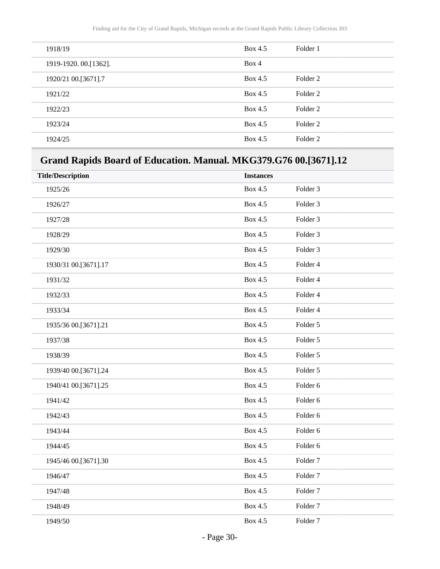| 1918/19                | Box 4.5 | Folder 1 |
|------------------------|---------|----------|
| 1919-1920. 00. [1362]. | Box 4   |          |
| 1920/21 00.[3671].7    | Box 4.5 | Folder 2 |
| 1921/22                | Box 4.5 | Folder 2 |
| 1922/23                | Box 4.5 | Folder 2 |
| 1923/24                | Box 4.5 | Folder 2 |
| 1924/25                | Box 4.5 | Folder 2 |

## <span id="page-29-0"></span>**Grand Rapids Board of Education. Manual. MKG379.G76 00.[3671].12**

| <b>Title/Description</b> | <b>Instances</b> |                     |
|--------------------------|------------------|---------------------|
| 1925/26                  | <b>Box 4.5</b>   | Folder <sub>3</sub> |
| 1926/27                  | <b>Box 4.5</b>   | Folder <sub>3</sub> |
| 1927/28                  | <b>Box 4.5</b>   | Folder <sub>3</sub> |
| 1928/29                  | <b>Box 4.5</b>   | Folder <sub>3</sub> |
| 1929/30                  | Box 4.5          | Folder <sub>3</sub> |
| 1930/31 00.[3671].17     | Box 4.5          | Folder 4            |
| 1931/32                  | Box 4.5          | Folder 4            |
| 1932/33                  | Box 4.5          | Folder 4            |
| 1933/34                  | <b>Box 4.5</b>   | Folder 4            |
| 1935/36 00.[3671].21     | <b>Box 4.5</b>   | Folder 5            |
| 1937/38                  | Box 4.5          | Folder 5            |
| 1938/39                  | Box 4.5          | Folder 5            |
| 1939/40 00.[3671].24     | Box 4.5          | Folder 5            |
| 1940/41 00.[3671].25     | Box 4.5          | Folder 6            |
| 1941/42                  | <b>Box 4.5</b>   | Folder 6            |
| 1942/43                  | Box 4.5          | Folder 6            |
| 1943/44                  | <b>Box 4.5</b>   | Folder 6            |
| 1944/45                  | <b>Box 4.5</b>   | Folder 6            |
| 1945/46 00.[3671].30     | <b>Box 4.5</b>   | Folder <sub>7</sub> |
| 1946/47                  | <b>Box 4.5</b>   | Folder <sub>7</sub> |
| 1947/48                  | Box 4.5          | Folder <sub>7</sub> |
| 1948/49                  | Box 4.5          | Folder <sub>7</sub> |
| 1949/50                  | Box 4.5          | Folder <sub>7</sub> |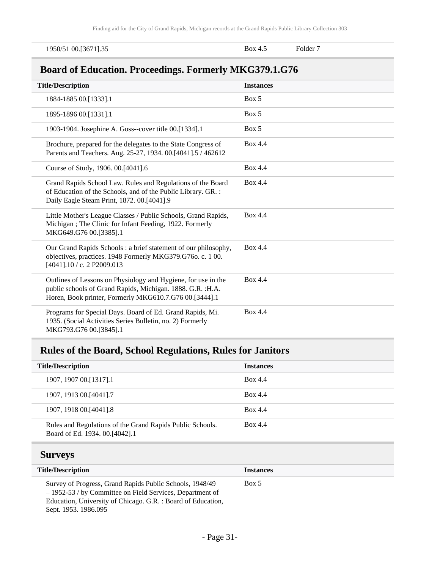<span id="page-30-0"></span>

| 1950/51 00.[3671].35                                                                                                                                                                   | Box 4.5          | Folder <sub>7</sub> |
|----------------------------------------------------------------------------------------------------------------------------------------------------------------------------------------|------------------|---------------------|
| <b>Board of Education. Proceedings. Formerly MKG379.1.G76</b>                                                                                                                          |                  |                     |
| <b>Title/Description</b>                                                                                                                                                               | <b>Instances</b> |                     |
| 1884-1885 00.[1333].1                                                                                                                                                                  | Box 5            |                     |
| 1895-1896 00.[1331].1                                                                                                                                                                  | Box 5            |                     |
| 1903-1904. Josephine A. Goss--cover title 00.[1334].1                                                                                                                                  | Box 5            |                     |
| Brochure, prepared for the delegates to the State Congress of<br>Parents and Teachers. Aug. 25-27, 1934. 00.[4041].5 / 462612                                                          | Box 4.4          |                     |
| Course of Study, 1906. 00.[4041].6                                                                                                                                                     | Box 4.4          |                     |
| Grand Rapids School Law. Rules and Regulations of the Board<br>of Education of the Schools, and of the Public Library. GR.:<br>Daily Eagle Steam Print, 1872. 00.[4041].9              | Box 4.4          |                     |
| Little Mother's League Classes / Public Schools, Grand Rapids,<br>Michigan; The Clinic for Infant Feeding, 1922. Formerly<br>MKG649.G76 00.[3385].1                                    | Box 4.4          |                     |
| Our Grand Rapids Schools: a brief statement of our philosophy,<br>objectives, practices. 1948 Formerly MKG379.G760. c. 1 00.<br>[4041].10 / c. 2 P2009.013                             | Box 4.4          |                     |
| Outlines of Lessons on Physiology and Hygiene, for use in the<br>public schools of Grand Rapids, Michigan. 1888. G.R. : H.A.<br>Horen, Book printer, Formerly MKG610.7.G76 00.[3444].1 | Box 4.4          |                     |
| Programs for Special Days. Board of Ed. Grand Rapids, Mi.<br>1935. (Social Activities Series Bulletin, no. 2) Formerly<br>MKG793.G76 00.[3845].1                                       | Box 4.4          |                     |

## <span id="page-30-1"></span>**Rules of the Board, School Regulations, Rules for Janitors**

| <b>Title/Description</b>                                                                    | <b>Instances</b> |
|---------------------------------------------------------------------------------------------|------------------|
| 1907, 1907 00. [1317]. 1                                                                    | <b>Box 4.4</b>   |
| 1907, 1913 00. [4041] .7                                                                    | <b>Box 4.4</b>   |
| 1907, 1918 00. [4041] .8                                                                    | <b>Box 4.4</b>   |
| Rules and Regulations of the Grand Rapids Public Schools.<br>Board of Ed. 1934. 00.[4042].1 | Box 4.4          |

## <span id="page-30-2"></span>**Surveys**

| <b>Title/Description</b>                                                                                                                                                                                      | <b>Instances</b> |
|---------------------------------------------------------------------------------------------------------------------------------------------------------------------------------------------------------------|------------------|
| Survey of Progress, Grand Rapids Public Schools, 1948/49<br>- 1952-53 / by Committee on Field Services, Department of<br>Education, University of Chicago. G.R. : Board of Education,<br>Sept. 1953. 1986.095 | Box 5            |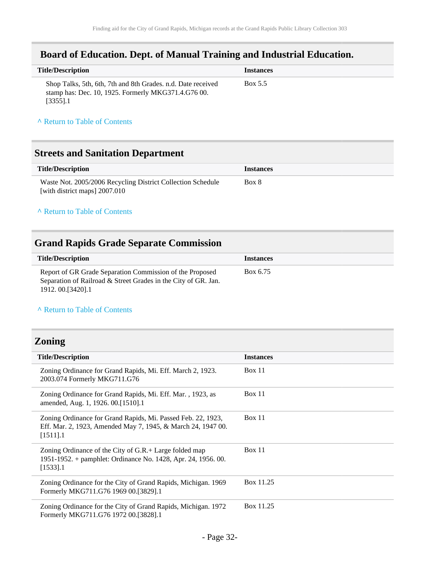## <span id="page-31-0"></span>**Board of Education. Dept. of Manual Training and Industrial Education.**

| <b>Title/Description</b>                                                                                                           | <b>Instances</b> |
|------------------------------------------------------------------------------------------------------------------------------------|------------------|
| Shop Talks, 5th, 6th, 7th and 8th Grades. n.d. Date received<br>stamp has: Dec. 10, 1925. Formerly MKG371.4.G76 00.<br>$[3355]$ .1 | Box 5.5          |

#### **^** [Return to Table of Contents](#page-1-0)

### <span id="page-31-1"></span>**Streets and Sanitation Department**

| Title/Description                                           | <i>Instances</i> |
|-------------------------------------------------------------|------------------|
| Waste Not. 2005/2006 Recycling District Collection Schedule | Box 8            |
| [with district maps] 2007.010                               |                  |

#### **^** [Return to Table of Contents](#page-1-0)

## <span id="page-31-2"></span>**Grand Rapids Grade Separate Commission**

| <b>Title/Description</b>                                                                                                                          | <b>Instances</b> |
|---------------------------------------------------------------------------------------------------------------------------------------------------|------------------|
| Report of GR Grade Separation Commission of the Proposed<br>Separation of Railroad & Street Grades in the City of GR. Jan.<br>1912. 00. [3420]. 1 | Box 6.75         |

#### **^** [Return to Table of Contents](#page-1-0)

## <span id="page-31-3"></span>**Zoning**

| <b>Title/Description</b>                                                                                                                    | <b>Instances</b> |
|---------------------------------------------------------------------------------------------------------------------------------------------|------------------|
| Zoning Ordinance for Grand Rapids, Mi. Eff. March 2, 1923.<br>2003.074 Formerly MKG711.G76                                                  | Box 11           |
| Zoning Ordinance for Grand Rapids, Mi. Eff. Mar., 1923, as<br>amended, Aug. 1, 1926. 00.[1510].1                                            | <b>Box 11</b>    |
| Zoning Ordinance for Grand Rapids, Mi. Passed Feb. 22, 1923,<br>Eff. Mar. 2, 1923, Amended May 7, 1945, & March 24, 1947 00.<br>$[1511]$ .1 | Box 11           |
| Zoning Ordinance of the City of G.R.+ Large folded map<br>1951-1952. + pamphlet: Ordinance No. 1428, Apr. 24, 1956. 00.<br>$[1533]$ .1      | Box 11           |
| Zoning Ordinance for the City of Grand Rapids, Michigan. 1969<br>Formerly MKG711.G76 1969 00.[3829].1                                       | Box 11.25        |
| Zoning Ordinance for the City of Grand Rapids, Michigan. 1972<br>Formerly MKG711.G76 1972 00.[3828].1                                       | Box 11.25        |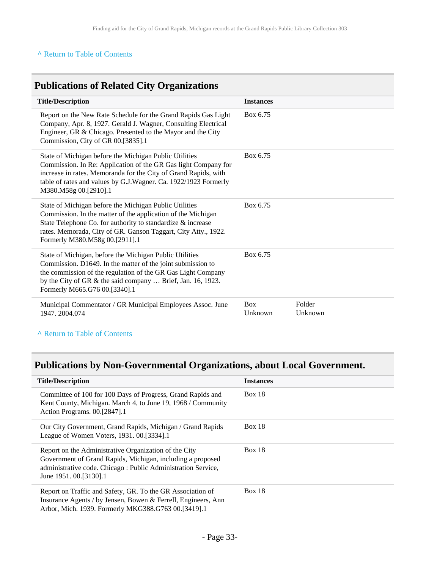## <span id="page-32-0"></span>**Publications of Related City Organizations**

| <b>Title/Description</b>                                                                                                                                                                                                                                                                  | <b>Instances</b>      |                   |
|-------------------------------------------------------------------------------------------------------------------------------------------------------------------------------------------------------------------------------------------------------------------------------------------|-----------------------|-------------------|
| Report on the New Rate Schedule for the Grand Rapids Gas Light<br>Company, Apr. 8, 1927. Gerald J. Wagner, Consulting Electrical<br>Engineer, GR & Chicago. Presented to the Mayor and the City<br>Commission, City of GR 00.[3835].1                                                     | Box 6.75              |                   |
| State of Michigan before the Michigan Public Utilities<br>Commission. In Re: Application of the GR Gas light Company for<br>increase in rates. Memoranda for the City of Grand Rapids, with<br>table of rates and values by G.J.Wagner. Ca. 1922/1923 Formerly<br>M380.M58g 00.[2910].1   | Box 6.75              |                   |
| State of Michigan before the Michigan Public Utilities<br>Commission. In the matter of the application of the Michigan<br>State Telephone Co. for authority to standardize & increase<br>rates. Memorada, City of GR. Ganson Taggart, City Atty., 1922.<br>Formerly M380.M58g 00.[2911].1 | Box 6.75              |                   |
| State of Michigan, before the Michigan Public Utilities<br>Commission. D1649. In the matter of the joint submission to<br>the commission of the regulation of the GR Gas Light Company<br>by the City of GR & the said company  Brief, Jan. 16, 1923.<br>Formerly M665.G76 00.[3340].1    | Box 6.75              |                   |
| Municipal Commentator / GR Municipal Employees Assoc. June<br>1947.2004.074                                                                                                                                                                                                               | <b>Box</b><br>Unknown | Folder<br>Unknown |

### **^** [Return to Table of Contents](#page-1-0)

## <span id="page-32-1"></span>**Publications by Non-Governmental Organizations, about Local Government.**

| <b>Title/Description</b>                                                                                                                                                                                        | <b>Instances</b> |
|-----------------------------------------------------------------------------------------------------------------------------------------------------------------------------------------------------------------|------------------|
| Committee of 100 for 100 Days of Progress, Grand Rapids and<br>Kent County, Michigan. March 4, to June 19, 1968 / Community<br>Action Programs. 00.[2847].1                                                     | Box 18           |
| Our City Government, Grand Rapids, Michigan / Grand Rapids<br>League of Women Voters, 1931. 00. [3334]. 1                                                                                                       | <b>Box 18</b>    |
| Report on the Administrative Organization of the City<br>Government of Grand Rapids, Michigan, including a proposed<br>administrative code. Chicago: Public Administration Service,<br>June 1951. 00. [3130]. 1 | Box $18$         |
| Report on Traffic and Safety, GR. To the GR Association of<br>Insurance Agents / by Jensen, Bowen & Ferrell, Engineers, Ann<br>Arbor, Mich. 1939. Formerly MKG388.G763 00.[3419].1                              | Box $18$         |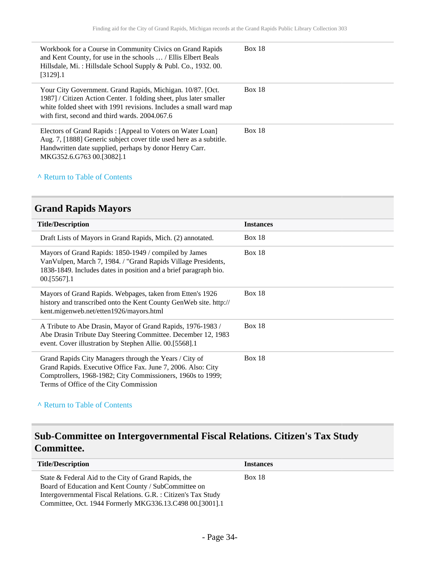| Workbook for a Course in Community Civics on Grand Rapids<br>and Kent County, for use in the schools  / Ellis Elbert Beals<br>Hillsdale, Mi.: Hillsdale School Supply & Publ. Co., 1932. 00.<br>$[3129]$ .1                                             | <b>Box 18</b> |
|---------------------------------------------------------------------------------------------------------------------------------------------------------------------------------------------------------------------------------------------------------|---------------|
| Your City Government. Grand Rapids, Michigan. 10/87. [Oct.<br>1987] / Citizen Action Center. 1 folding sheet, plus later smaller<br>white folded sheet with 1991 revisions. Includes a small ward map<br>with first, second and third wards. 2004.067.6 | <b>Box 18</b> |
| Electors of Grand Rapids : [Appeal to Voters on Water Loan]<br>Aug. 7, [1888] Generic subject cover title used here as a subtitle.<br>Handwritten date supplied, perhaps by donor Henry Carr.<br>MKG352.6.G763 00.[3082].1                              | <b>Box 18</b> |

## <span id="page-33-0"></span>**Grand Rapids Mayors**

| <b>Title/Description</b>                                                                                                                                                                                                        | <b>Instances</b> |
|---------------------------------------------------------------------------------------------------------------------------------------------------------------------------------------------------------------------------------|------------------|
| Draft Lists of Mayors in Grand Rapids, Mich. (2) annotated.                                                                                                                                                                     | Box 18           |
| Mayors of Grand Rapids: 1850-1949 / compiled by James<br>Van Vulpen, March 7, 1984. / "Grand Rapids Village Presidents,<br>1838-1849. Includes dates in position and a brief paragraph bio.<br>$00.5567$ ].1                    | Box 18           |
| Mayors of Grand Rapids. Webpages, taken from Etten's 1926<br>history and transcribed onto the Kent County GenWeb site. http://<br>kent.migenweb.net/etten1926/mayors.html                                                       | Box 18           |
| A Tribute to Abe Drasin, Mayor of Grand Rapids, 1976-1983 /<br>Abe Drasin Tribute Day Steering Committee. December 12, 1983<br>event. Cover illustration by Stephen Allie. 00.[5568].1                                          | Box $18$         |
| Grand Rapids City Managers through the Years / City of<br>Grand Rapids. Executive Office Fax. June 7, 2006. Also: City<br>Comptrollers, 1968-1982; City Commissioners, 1960s to 1999;<br>Terms of Office of the City Commission | Box $18$         |

### **^** [Return to Table of Contents](#page-1-0)

## <span id="page-33-1"></span>**Sub-Committee on Intergovernmental Fiscal Relations. Citizen's Tax Study Committee.**

| <b>Title/Description</b>                                                                                                                                                                                                                   | <b>Instances</b> |
|--------------------------------------------------------------------------------------------------------------------------------------------------------------------------------------------------------------------------------------------|------------------|
| State & Federal Aid to the City of Grand Rapids, the<br>Board of Education and Kent County / SubCommittee on<br>Intergovernmental Fiscal Relations. G.R. : Citizen's Tax Study<br>Committee, Oct. 1944 Formerly MKG336.13.C498 00.[3001].1 | Box 18           |